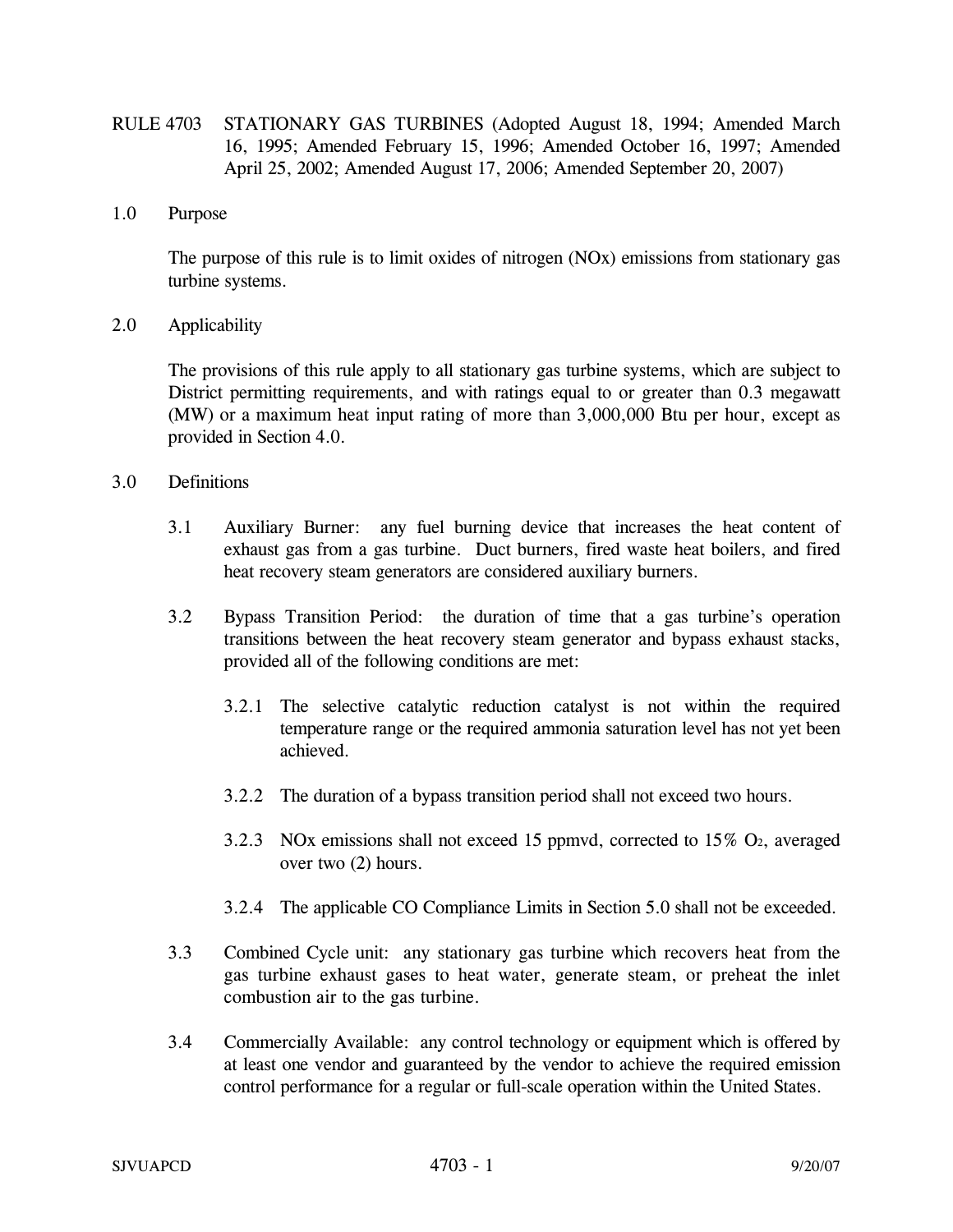- RULE 4703 STATIONARY GAS TURBINES (Adopted August 18, 1994; Amended March 16, 1995; Amended February 15, 1996; Amended October 16, 1997; Amended April 25, 2002; Amended August 17, 2006; Amended September 20, 2007)
- 1.0 Purpose

The purpose of this rule is to limit oxides of nitrogen (NOx) emissions from stationary gas turbine systems.

2.0 Applicability

The provisions of this rule apply to all stationary gas turbine systems, which are subject to District permitting requirements, and with ratings equal to or greater than 0.3 megawatt (MW) or a maximum heat input rating of more than 3,000,000 Btu per hour, except as provided in Section 4.0.

- 3.0 Definitions
	- 3.1 Auxiliary Burner: any fuel burning device that increases the heat content of exhaust gas from a gas turbine. Duct burners, fired waste heat boilers, and fired heat recovery steam generators are considered auxiliary burners.
	- 3.2 Bypass Transition Period: the duration of time that a gas turbine's operation transitions between the heat recovery steam generator and bypass exhaust stacks, provided all of the following conditions are met:
		- 3.2.1 The selective catalytic reduction catalyst is not within the required temperature range or the required ammonia saturation level has not yet been achieved.
		- 3.2.2 The duration of a bypass transition period shall not exceed two hours.
		- 3.2.3 NOx emissions shall not exceed 15 ppmvd, corrected to  $15\%$  O<sub>2</sub>, averaged over two (2) hours.
		- 3.2.4 The applicable CO Compliance Limits in Section 5.0 shall not be exceeded.
	- 3.3 Combined Cycle unit: any stationary gas turbine which recovers heat from the gas turbine exhaust gases to heat water, generate steam, or preheat the inlet combustion air to the gas turbine.
	- 3.4 Commercially Available: any control technology or equipment which is offered by at least one vendor and guaranteed by the vendor to achieve the required emission control performance for a regular or full-scale operation within the United States.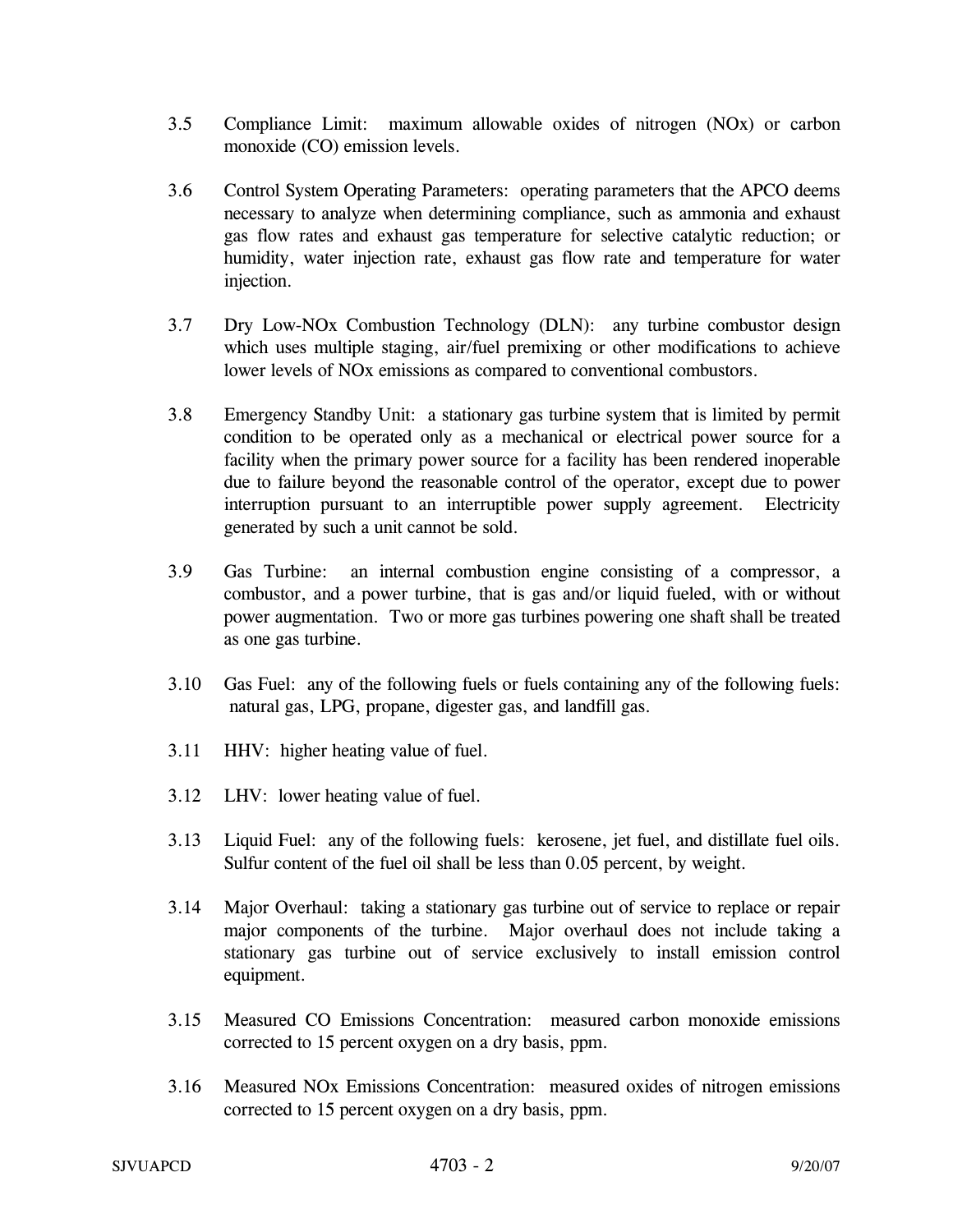- 3.5 Compliance Limit: maximum allowable oxides of nitrogen (NOx) or carbon monoxide (CO) emission levels.
- 3.6 Control System Operating Parameters: operating parameters that the APCO deems necessary to analyze when determining compliance, such as ammonia and exhaust gas flow rates and exhaust gas temperature for selective catalytic reduction; or humidity, water injection rate, exhaust gas flow rate and temperature for water injection.
- 3.7 Dry Low-NOx Combustion Technology (DLN): any turbine combustor design which uses multiple staging, air/fuel premixing or other modifications to achieve lower levels of NOx emissions as compared to conventional combustors.
- 3.8 Emergency Standby Unit: a stationary gas turbine system that is limited by permit condition to be operated only as a mechanical or electrical power source for a facility when the primary power source for a facility has been rendered inoperable due to failure beyond the reasonable control of the operator, except due to power interruption pursuant to an interruptible power supply agreement. Electricity generated by such a unit cannot be sold.
- 3.9 Gas Turbine: an internal combustion engine consisting of a compressor, a combustor, and a power turbine, that is gas and/or liquid fueled, with or without power augmentation. Two or more gas turbines powering one shaft shall be treated as one gas turbine.
- 3.10 Gas Fuel: any of the following fuels or fuels containing any of the following fuels: natural gas, LPG, propane, digester gas, and landfill gas.
- 3.11 HHV: higher heating value of fuel.
- 3.12 LHV: lower heating value of fuel.
- 3.13 Liquid Fuel: any of the following fuels: kerosene, jet fuel, and distillate fuel oils. Sulfur content of the fuel oil shall be less than 0.05 percent, by weight.
- 3.14 Major Overhaul: taking a stationary gas turbine out of service to replace or repair major components of the turbine. Major overhaul does not include taking a stationary gas turbine out of service exclusively to install emission control equipment.
- 3.15 Measured CO Emissions Concentration: measured carbon monoxide emissions corrected to 15 percent oxygen on a dry basis, ppm.
- 3.16 Measured NOx Emissions Concentration: measured oxides of nitrogen emissions corrected to 15 percent oxygen on a dry basis, ppm.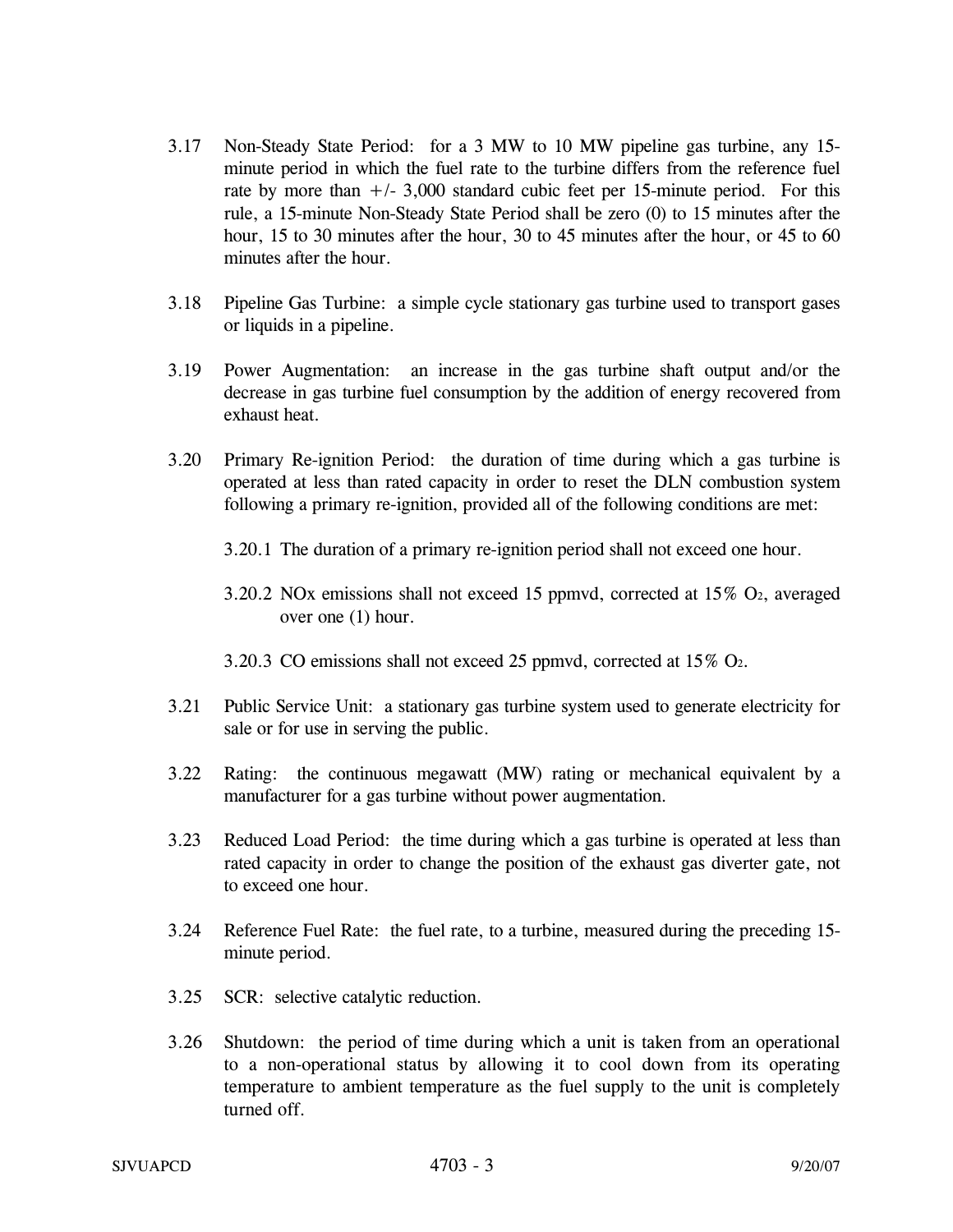- 3.17 Non-Steady State Period: for a 3 MW to 10 MW pipeline gas turbine, any 15 minute period in which the fuel rate to the turbine differs from the reference fuel rate by more than  $+/- 3,000$  standard cubic feet per 15-minute period. For this rule, a 15-minute Non-Steady State Period shall be zero (0) to 15 minutes after the hour, 15 to 30 minutes after the hour, 30 to 45 minutes after the hour, or 45 to 60 minutes after the hour.
- 3.18 Pipeline Gas Turbine: a simple cycle stationary gas turbine used to transport gases or liquids in a pipeline.
- 3.19 Power Augmentation: an increase in the gas turbine shaft output and/or the decrease in gas turbine fuel consumption by the addition of energy recovered from exhaust heat.
- 3.20 Primary Re-ignition Period: the duration of time during which a gas turbine is operated at less than rated capacity in order to reset the DLN combustion system following a primary re-ignition, provided all of the following conditions are met:
	- 3.20.1 The duration of a primary re-ignition period shall not exceed one hour.
	- 3.20.2 NOx emissions shall not exceed 15 ppmvd, corrected at 15% O2, averaged over one (1) hour.
	- 3.20.3 CO emissions shall not exceed 25 ppmvd, corrected at 15% O2.
- 3.21 Public Service Unit: a stationary gas turbine system used to generate electricity for sale or for use in serving the public.
- 3.22 Rating: the continuous megawatt (MW) rating or mechanical equivalent by a manufacturer for a gas turbine without power augmentation.
- 3.23 Reduced Load Period: the time during which a gas turbine is operated at less than rated capacity in order to change the position of the exhaust gas diverter gate, not to exceed one hour.
- 3.24 Reference Fuel Rate: the fuel rate, to a turbine, measured during the preceding 15 minute period.
- 3.25 SCR: selective catalytic reduction.
- 3.26 Shutdown: the period of time during which a unit is taken from an operational to a non-operational status by allowing it to cool down from its operating temperature to ambient temperature as the fuel supply to the unit is completely turned off.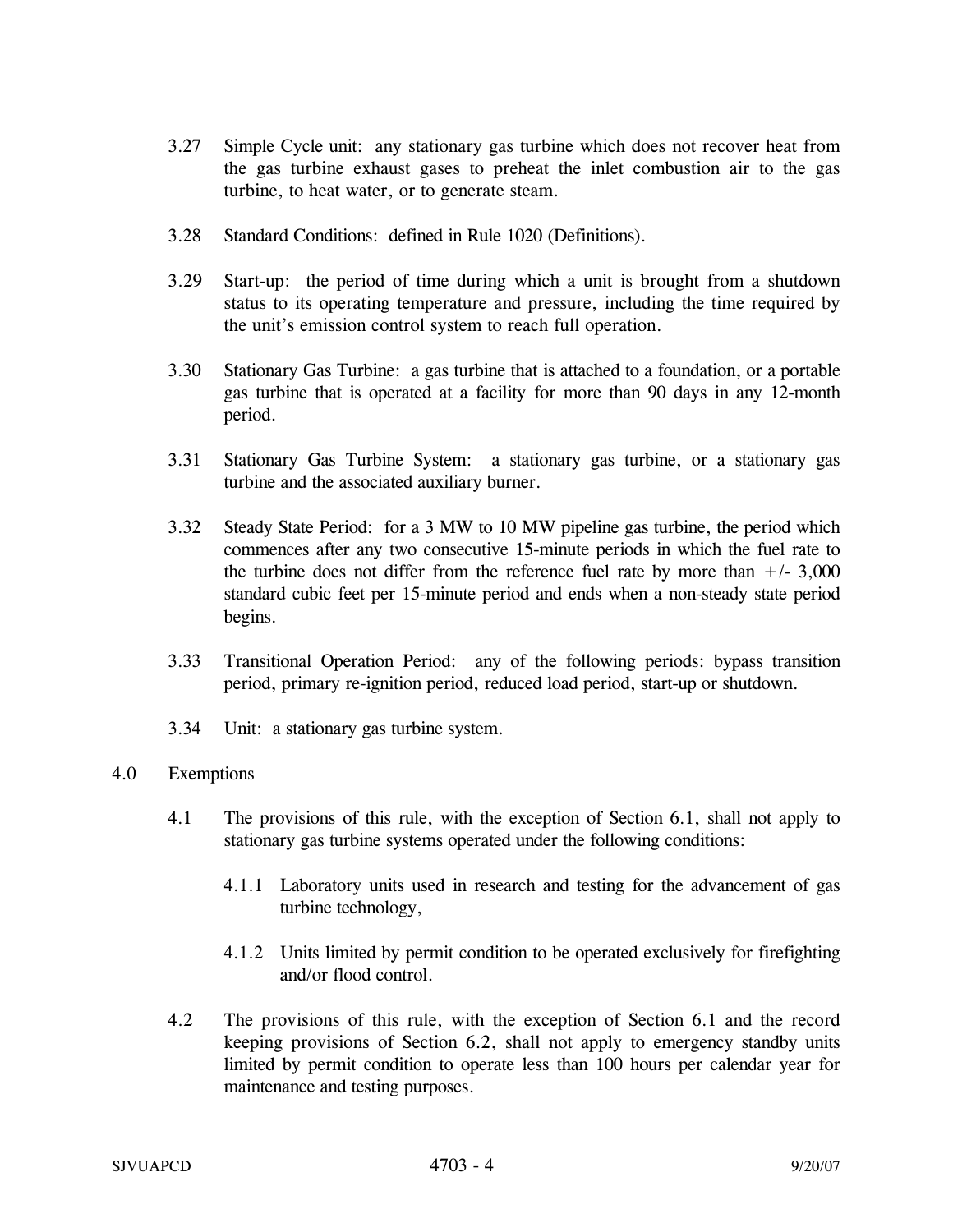- 3.27 Simple Cycle unit: any stationary gas turbine which does not recover heat from the gas turbine exhaust gases to preheat the inlet combustion air to the gas turbine, to heat water, or to generate steam.
- 3.28 Standard Conditions: defined in Rule 1020 (Definitions).
- 3.29 Start-up: the period of time during which a unit is brought from a shutdown status to its operating temperature and pressure, including the time required by the unit's emission control system to reach full operation.
- 3.30 Stationary Gas Turbine: a gas turbine that is attached to a foundation, or a portable gas turbine that is operated at a facility for more than 90 days in any 12-month period.
- 3.31 Stationary Gas Turbine System: a stationary gas turbine, or a stationary gas turbine and the associated auxiliary burner.
- 3.32 Steady State Period: for a 3 MW to 10 MW pipeline gas turbine, the period which commences after any two consecutive 15-minute periods in which the fuel rate to the turbine does not differ from the reference fuel rate by more than  $+/- 3,000$ standard cubic feet per 15-minute period and ends when a non-steady state period begins.
- 3.33 Transitional Operation Period: any of the following periods: bypass transition period, primary re-ignition period, reduced load period, start-up or shutdown.
- 3.34 Unit: a stationary gas turbine system.

## 4.0 Exemptions

- 4.1 The provisions of this rule, with the exception of Section 6.1, shall not apply to stationary gas turbine systems operated under the following conditions:
	- 4.1.1 Laboratory units used in research and testing for the advancement of gas turbine technology,
	- 4.1.2 Units limited by permit condition to be operated exclusively for firefighting and/or flood control.
- 4.2 The provisions of this rule, with the exception of Section 6.1 and the record keeping provisions of Section 6.2, shall not apply to emergency standby units limited by permit condition to operate less than 100 hours per calendar year for maintenance and testing purposes.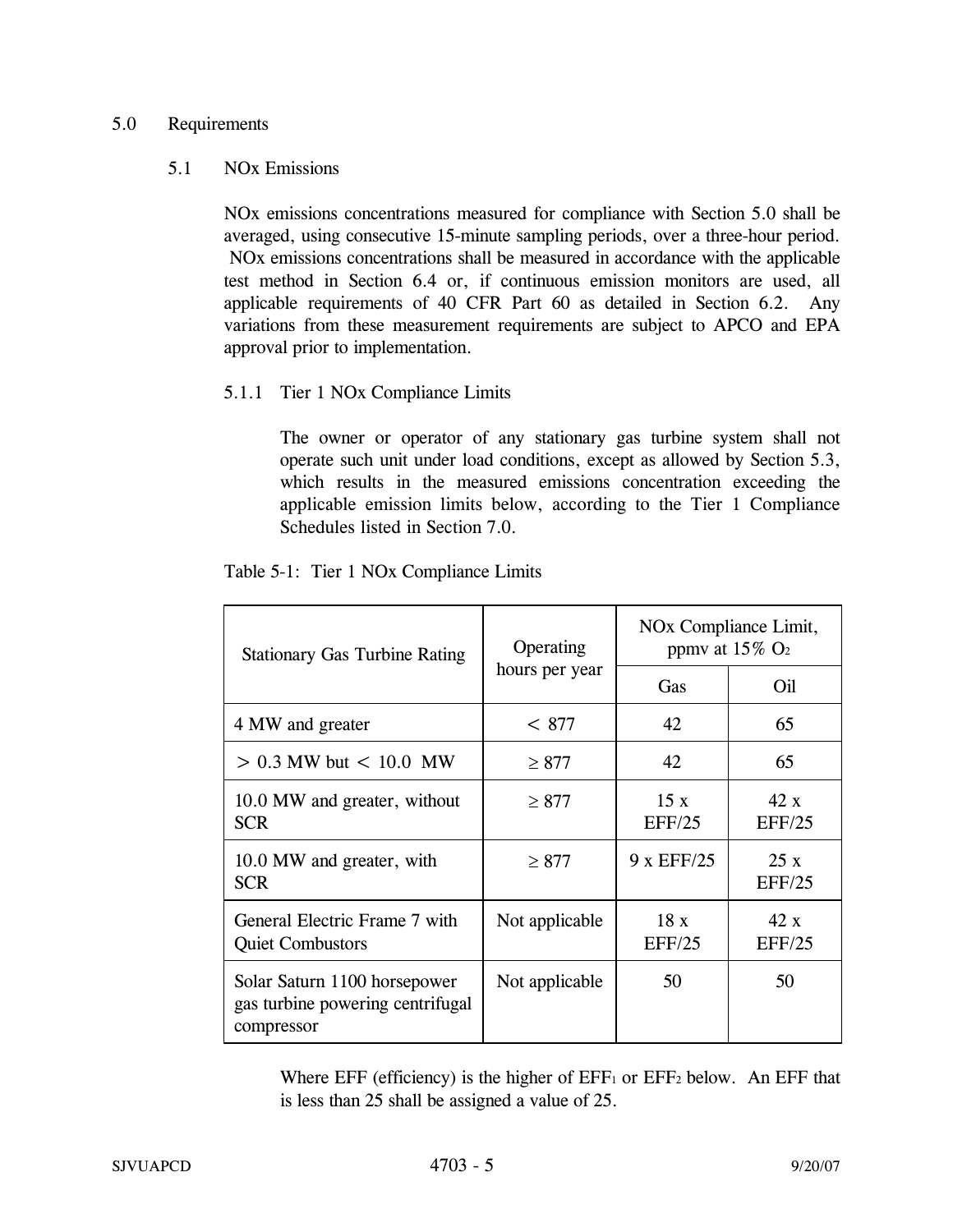## 5.0 Requirements

#### 5.1 NOx Emissions

NOx emissions concentrations measured for compliance with Section 5.0 shall be averaged, using consecutive 15-minute sampling periods, over a three-hour period. NOx emissions concentrations shall be measured in accordance with the applicable test method in Section 6.4 or, if continuous emission monitors are used, all applicable requirements of 40 CFR Part 60 as detailed in Section 6.2. Any variations from these measurement requirements are subject to APCO and EPA approval prior to implementation.

## 5.1.1 Tier 1 NOx Compliance Limits

The owner or operator of any stationary gas turbine system shall not operate such unit under load conditions, except as allowed by Section 5.3, which results in the measured emissions concentration exceeding the applicable emission limits below, according to the Tier 1 Compliance Schedules listed in Section 7.0.

| <b>Stationary Gas Turbine Rating</b>                                           | Operating<br>hours per year | NO <sub>x</sub> Compliance Limit,<br>ppmy at $15\%$ O <sub>2</sub> |               |
|--------------------------------------------------------------------------------|-----------------------------|--------------------------------------------------------------------|---------------|
|                                                                                |                             | Gas                                                                | Oil           |
| 4 MW and greater                                                               | < 877                       | 42                                                                 | 65            |
| $> 0.3$ MW but $< 10.0$ MW                                                     | $\geq 877$                  | 42                                                                 | 65            |
| 10.0 MW and greater, without<br><b>SCR</b>                                     | $\geq 877$                  | 15x<br>EFF/25                                                      | 42x<br>EFF/25 |
| 10.0 MW and greater, with<br><b>SCR</b>                                        | $\geq 877$                  | 9 x EFF/25                                                         | 25x<br>EFF/25 |
| General Electric Frame 7 with<br><b>Quiet Combustors</b>                       | Not applicable              | 18x<br>EFF/25                                                      | 42x<br>EFF/25 |
| Solar Saturn 1100 horsepower<br>gas turbine powering centrifugal<br>compressor | Not applicable              | 50                                                                 | 50            |

## Table 5-1: Tier 1 NOx Compliance Limits

Where EFF (efficiency) is the higher of  $EFF_1$  or  $EFF_2$  below. An EFF that is less than 25 shall be assigned a value of 25.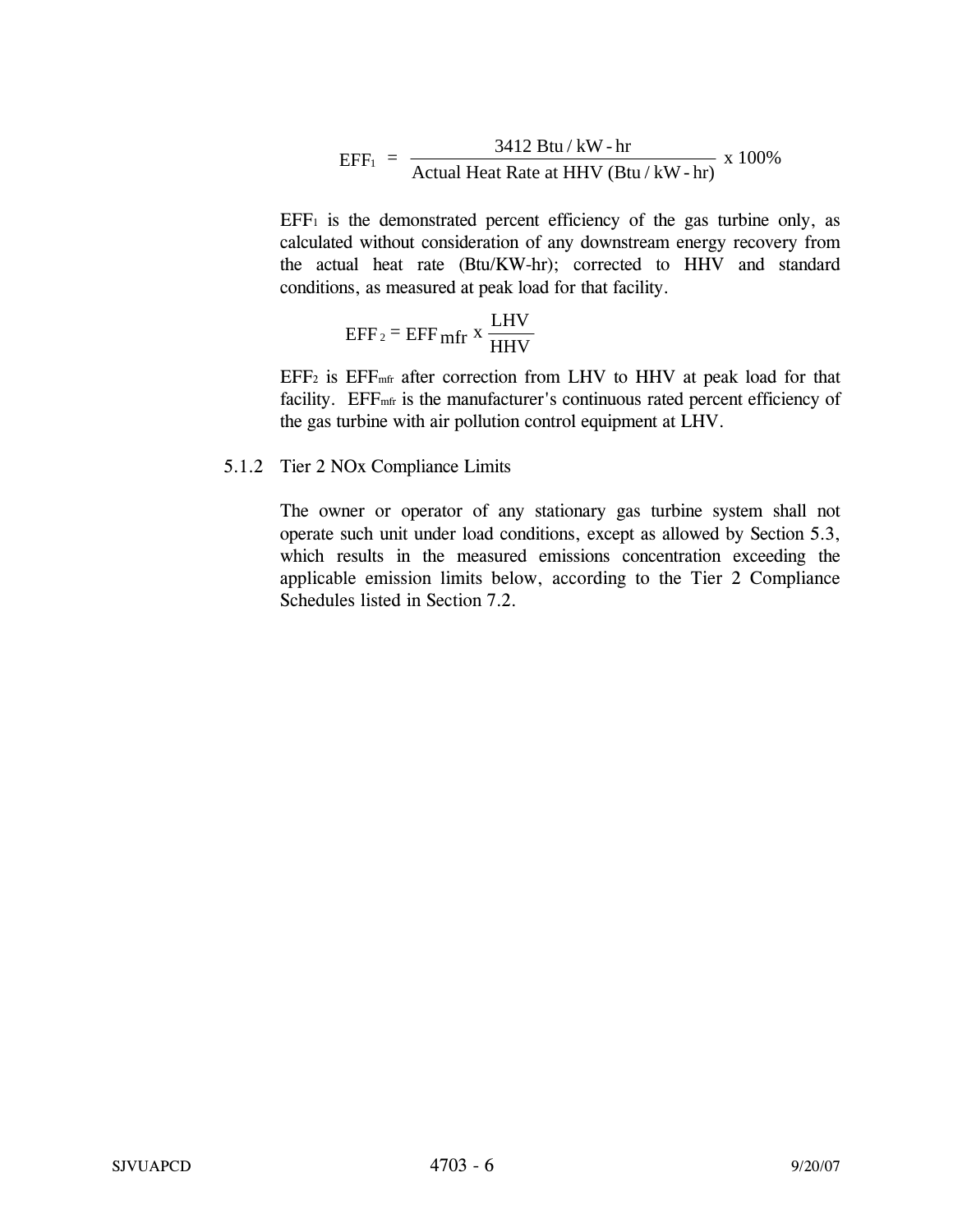$$
EFF_1 = \frac{3412 \text{ Btu} / \text{kW} \cdot \text{hr}}{\text{Actual Heat Rate at HHV} (Btu / \text{kW} \cdot \text{hr})} \times 100\%
$$

 $EFF<sub>1</sub>$  is the demonstrated percent efficiency of the gas turbine only, as calculated without consideration of any downstream energy recovery from the actual heat rate (Btu/KW-hr); corrected to HHV and standard conditions, as measured at peak load for that facility.

$$
EFF_2 = EFF_{\text{mfr}} x \frac{LHV}{HHV}
$$

 $EFF<sub>2</sub>$  is  $EFF<sub>mfr</sub>$  after correction from LHV to HHV at peak load for that facility. EFF<sub>mfr</sub> is the manufacturer's continuous rated percent efficiency of the gas turbine with air pollution control equipment at LHV.

#### 5.1.2 Tier 2 NOx Compliance Limits

The owner or operator of any stationary gas turbine system shall not operate such unit under load conditions, except as allowed by Section 5.3, which results in the measured emissions concentration exceeding the applicable emission limits below, according to the Tier 2 Compliance Schedules listed in Section 7.2.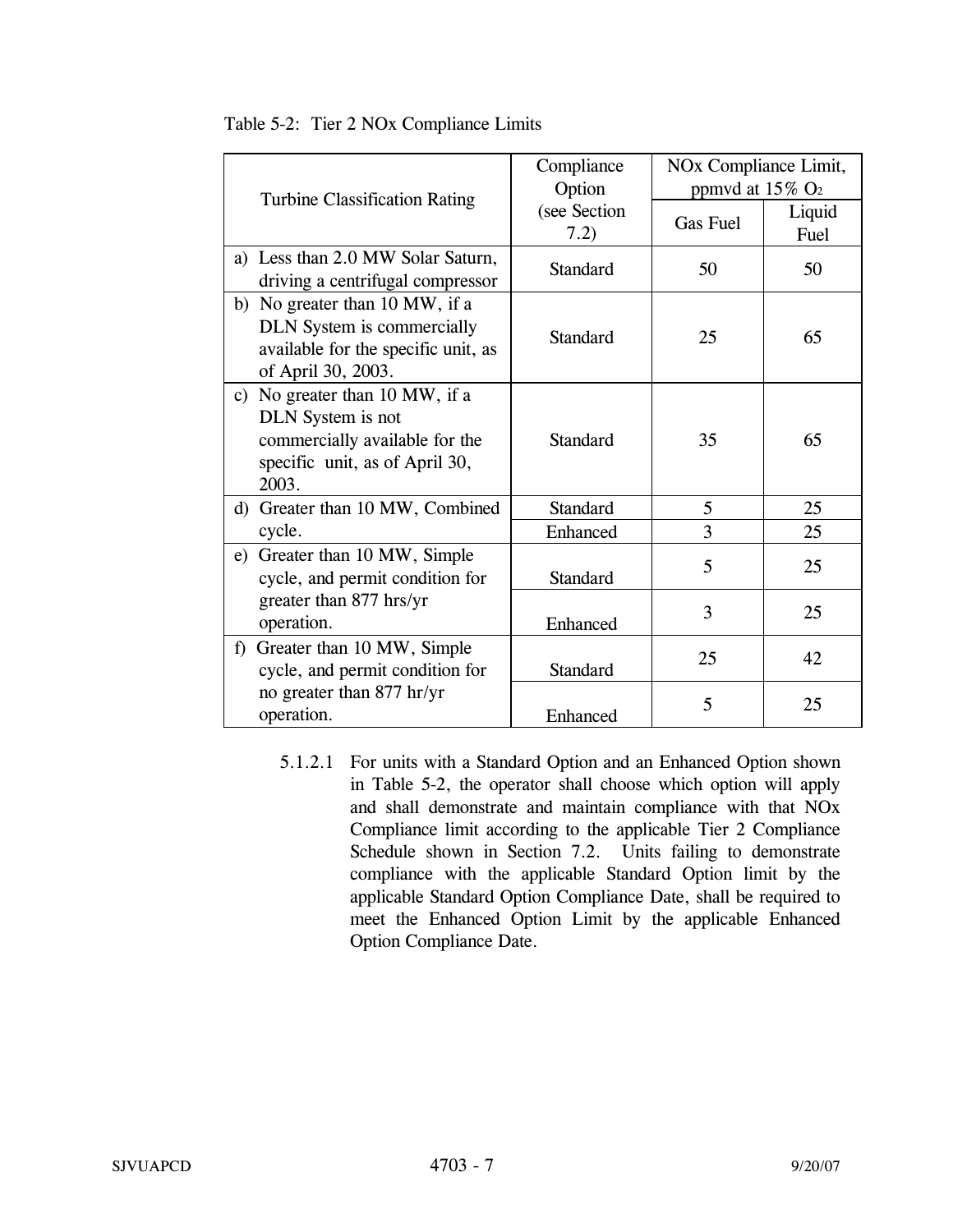|                                                                                                                                  | Compliance<br>Option | NO <sub>x</sub> Compliance Limit,<br>ppmvd at $15\%$ O <sub>2</sub> |                |
|----------------------------------------------------------------------------------------------------------------------------------|----------------------|---------------------------------------------------------------------|----------------|
| <b>Turbine Classification Rating</b>                                                                                             | (see Section<br>7.2) | <b>Gas Fuel</b>                                                     | Liquid<br>Fuel |
| a) Less than 2.0 MW Solar Saturn,<br>driving a centrifugal compressor                                                            | <b>Standard</b>      | 50                                                                  | 50             |
| b) No greater than 10 MW, if a<br><b>DLN</b> System is commercially<br>available for the specific unit, as<br>of April 30, 2003. | Standard             | 25                                                                  | 65             |
| c) No greater than 10 MW, if a<br>DLN System is not<br>commercially available for the<br>specific unit, as of April 30,<br>2003. | Standard             | 35                                                                  | 65             |
| d) Greater than 10 MW, Combined                                                                                                  | Standard             | 5                                                                   | 25             |
| cycle.                                                                                                                           | Enhanced             | 3                                                                   | 25             |
| Greater than 10 MW, Simple<br>e)<br>cycle, and permit condition for                                                              | <b>Standard</b>      | 5                                                                   | 25             |
| greater than 877 hrs/yr<br>operation.                                                                                            | Enhanced             | 3                                                                   | 25             |
| Greater than 10 MW, Simple<br>f<br>cycle, and permit condition for                                                               | <b>Standard</b>      | 25                                                                  | 42             |
| no greater than 877 hr/yr<br>operation.                                                                                          | Enhanced             | 5                                                                   | 25             |

| Table 5-2: Tier 2 NOx Compliance Limits |  |
|-----------------------------------------|--|
|                                         |  |

5.1.2.1 For units with a Standard Option and an Enhanced Option shown in Table 5-2, the operator shall choose which option will apply and shall demonstrate and maintain compliance with that NOx Compliance limit according to the applicable Tier 2 Compliance Schedule shown in Section 7.2. Units failing to demonstrate compliance with the applicable Standard Option limit by the applicable Standard Option Compliance Date, shall be required to meet the Enhanced Option Limit by the applicable Enhanced Option Compliance Date.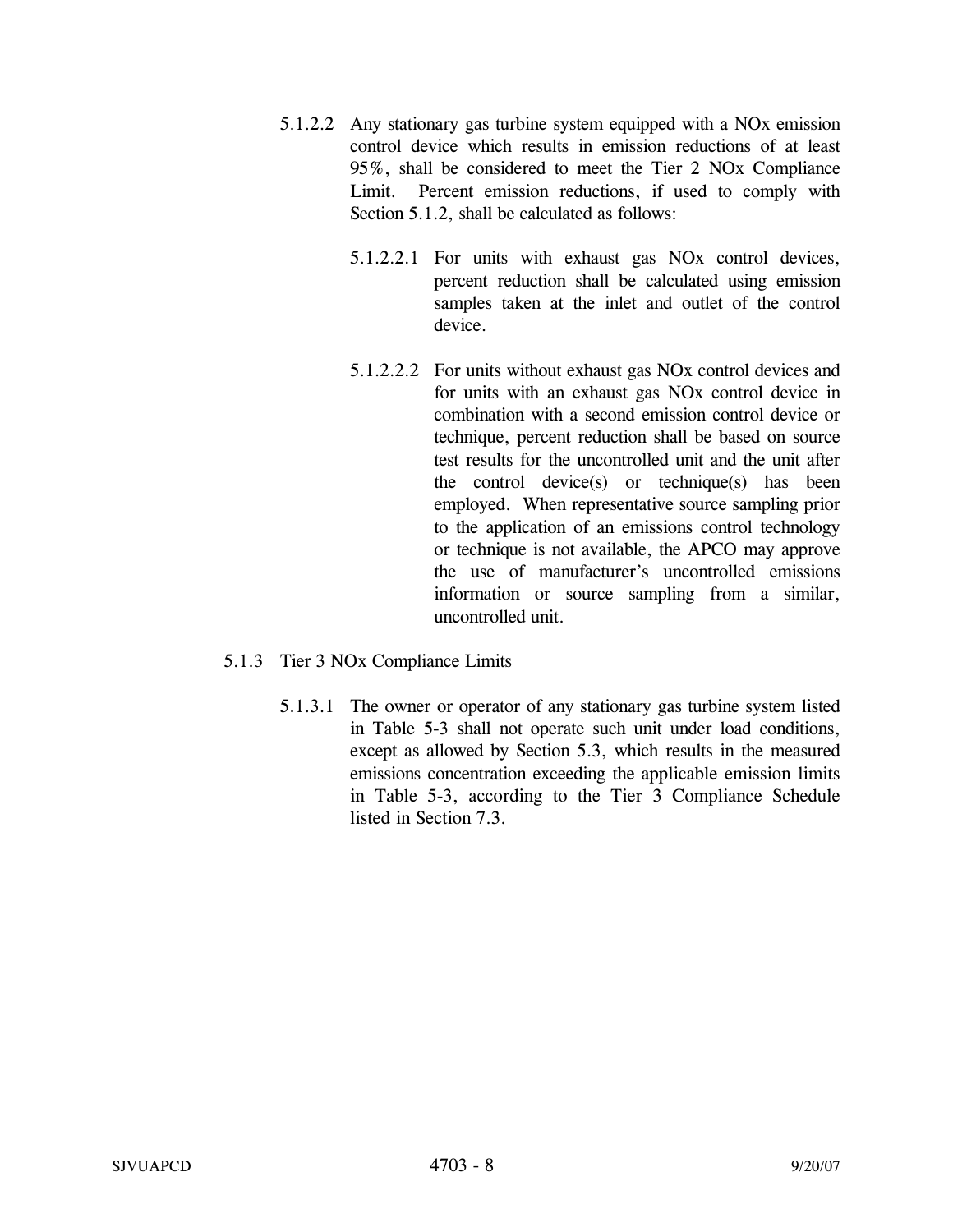- 5.1.2.2 Any stationary gas turbine system equipped with a NOx emission control device which results in emission reductions of at least 95%, shall be considered to meet the Tier 2 NOx Compliance Limit. Percent emission reductions, if used to comply with Section 5.1.2, shall be calculated as follows:
	- 5.1.2.2.1 For units with exhaust gas NOx control devices, percent reduction shall be calculated using emission samples taken at the inlet and outlet of the control device.
	- 5.1.2.2.2 For units without exhaust gas NOx control devices and for units with an exhaust gas NOx control device in combination with a second emission control device or technique, percent reduction shall be based on source test results for the uncontrolled unit and the unit after the control device(s) or technique(s) has been employed. When representative source sampling prior to the application of an emissions control technology or technique is not available, the APCO may approve the use of manufacturer's uncontrolled emissions information or source sampling from a similar, uncontrolled unit.
- 5.1.3 Tier 3 NOx Compliance Limits
	- 5.1.3.1 The owner or operator of any stationary gas turbine system listed in Table 5-3 shall not operate such unit under load conditions, except as allowed by Section 5.3, which results in the measured emissions concentration exceeding the applicable emission limits in Table 5-3, according to the Tier 3 Compliance Schedule listed in Section 7.3.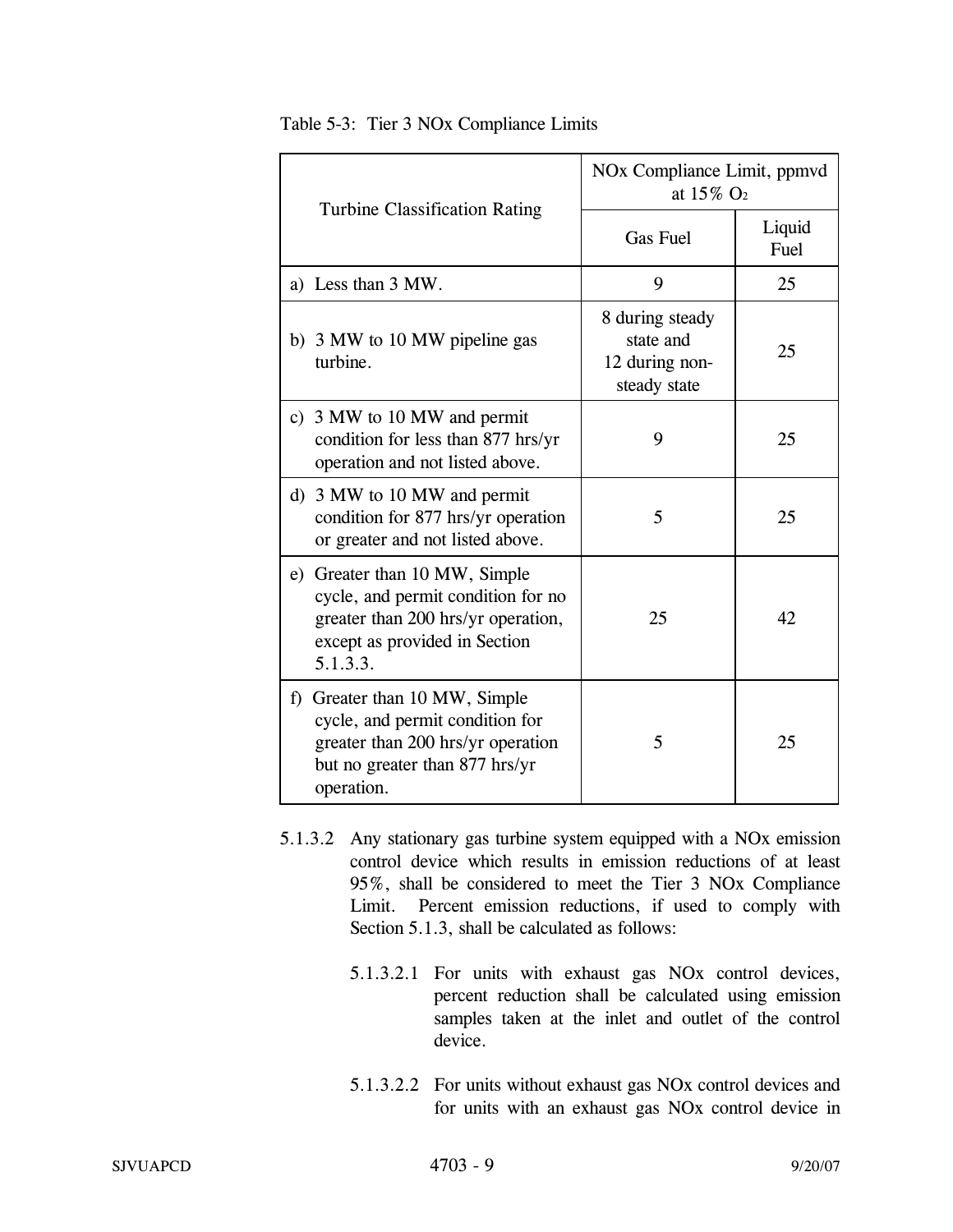| <b>Turbine Classification Rating</b>                                                                                                                   | NO <sub>x</sub> Compliance Limit, ppmvd<br>at $15\%$ O <sub>2</sub> |                |
|--------------------------------------------------------------------------------------------------------------------------------------------------------|---------------------------------------------------------------------|----------------|
|                                                                                                                                                        | <b>Gas Fuel</b>                                                     | Liquid<br>Fuel |
| a) Less than 3 MW.                                                                                                                                     | 9                                                                   | 25             |
| b) 3 MW to 10 MW pipeline gas<br>turbine.                                                                                                              | 8 during steady<br>state and<br>12 during non-<br>steady state      | 25             |
| c) 3 MW to 10 MW and permit<br>condition for less than 877 hrs/yr<br>operation and not listed above.                                                   | 9                                                                   | 25             |
| d) 3 MW to 10 MW and permit<br>condition for 877 hrs/yr operation<br>or greater and not listed above.                                                  | 5                                                                   | 25             |
| e) Greater than 10 MW, Simple<br>cycle, and permit condition for no<br>greater than 200 hrs/yr operation,<br>except as provided in Section<br>5.1.3.3. | 25                                                                  | 42             |
| f) Greater than 10 MW, Simple<br>cycle, and permit condition for<br>greater than 200 hrs/yr operation<br>but no greater than 877 hrs/yr<br>operation.  | 5                                                                   | 25             |

Table 5-3: Tier 3 NOx Compliance Limits

- 5.1.3.2 Any stationary gas turbine system equipped with a NOx emission control device which results in emission reductions of at least 95%, shall be considered to meet the Tier 3 NOx Compliance Limit. Percent emission reductions, if used to comply with Section 5.1.3, shall be calculated as follows:
	- 5.1.3.2.1 For units with exhaust gas NOx control devices, percent reduction shall be calculated using emission samples taken at the inlet and outlet of the control device.
	- 5.1.3.2.2 For units without exhaust gas NOx control devices and for units with an exhaust gas NOx control device in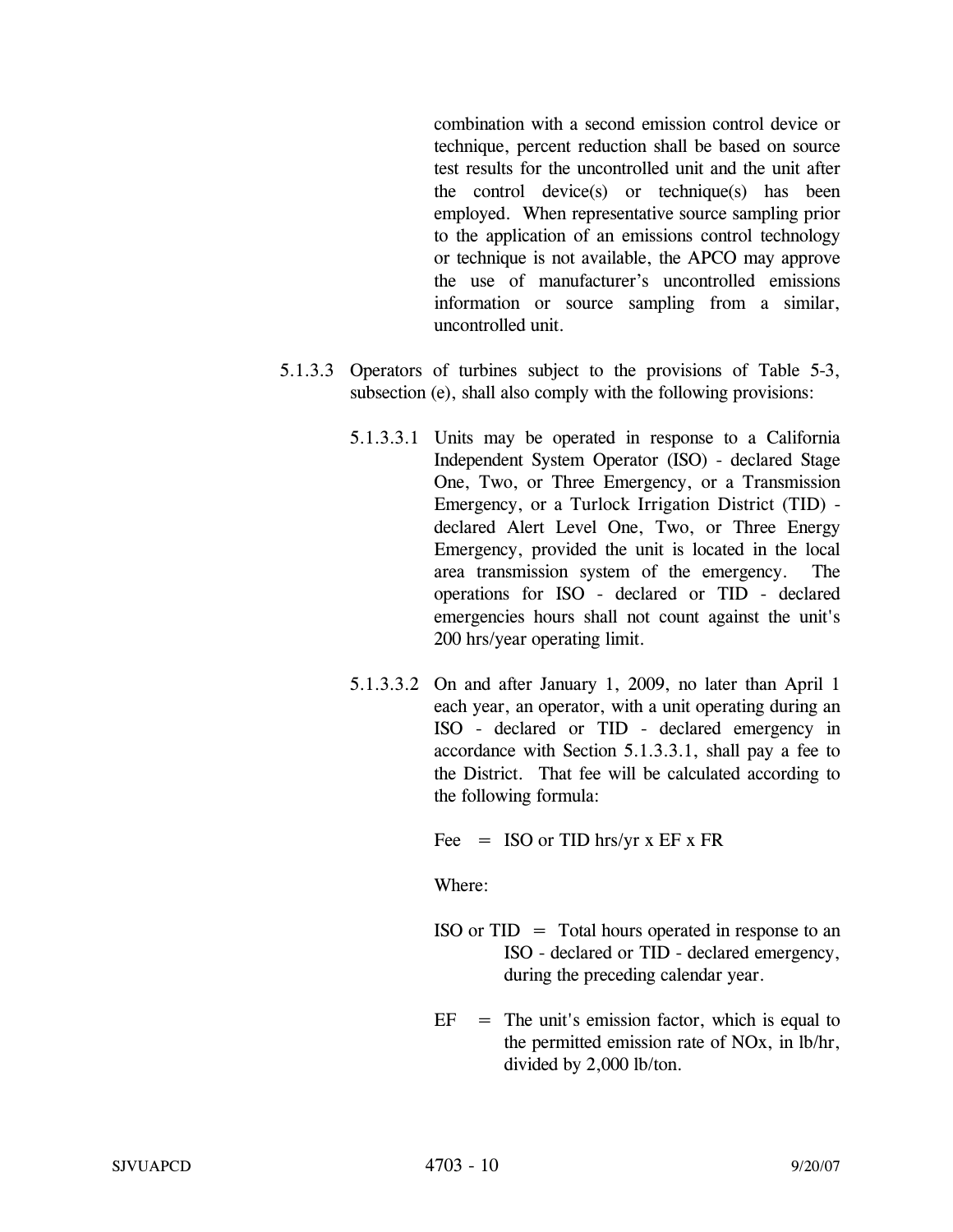combination with a second emission control device or technique, percent reduction shall be based on source test results for the uncontrolled unit and the unit after the control device(s) or technique(s) has been employed. When representative source sampling prior to the application of an emissions control technology or technique is not available, the APCO may approve the use of manufacturer's uncontrolled emissions information or source sampling from a similar, uncontrolled unit.

- 5.1.3.3 Operators of turbines subject to the provisions of Table 5-3, subsection (e), shall also comply with the following provisions:
	- 5.1.3.3.1 Units may be operated in response to a California Independent System Operator (ISO) - declared Stage One, Two, or Three Emergency, or a Transmission Emergency, or a Turlock Irrigation District (TID) declared Alert Level One, Two, or Three Energy Emergency, provided the unit is located in the local area transmission system of the emergency. The operations for ISO - declared or TID - declared emergencies hours shall not count against the unit's 200 hrs/year operating limit.
	- 5.1.3.3.2 On and after January 1, 2009, no later than April 1 each year, an operator, with a unit operating during an ISO - declared or TID - declared emergency in accordance with Section 5.1.3.3.1, shall pay a fee to the District. That fee will be calculated according to the following formula:

Fee  $=$  ISO or TID hrs/yr x EF x FR

Where:

- $ISO \text{ or } TID = Total hours operated in response to an$ ISO - declared or TID - declared emergency, during the preceding calendar year.
- $EF = The unit's emission factor, which is equal to$ the permitted emission rate of NOx, in lb/hr, divided by 2,000 lb/ton.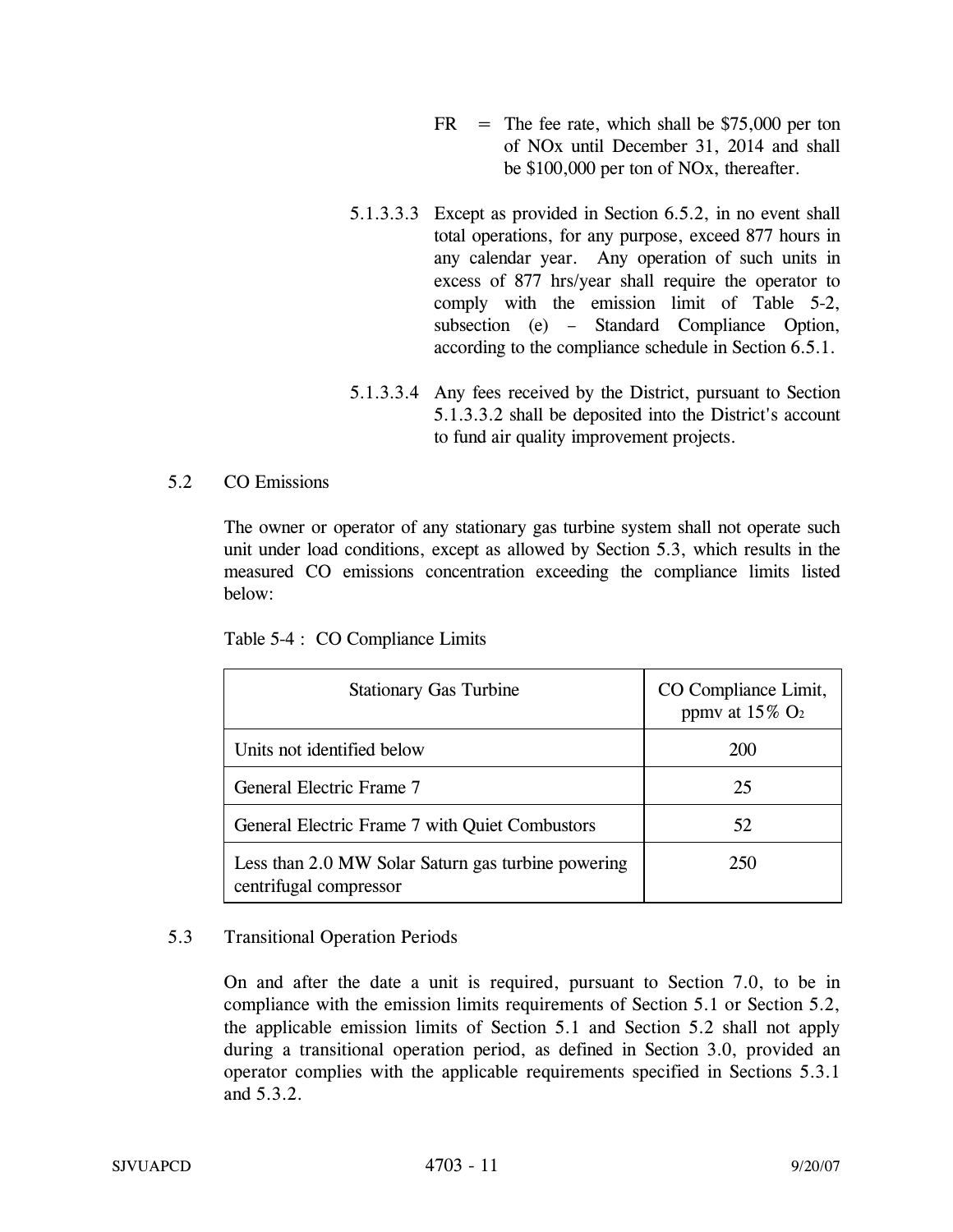- $FR$  = The fee rate, which shall be \$75,000 per ton of NOx until December 31, 2014 and shall be \$100,000 per ton of NOx, thereafter.
- 5.1.3.3.3 Except as provided in Section 6.5.2, in no event shall total operations, for any purpose, exceed 877 hours in any calendar year. Any operation of such units in excess of 877 hrs/year shall require the operator to comply with the emission limit of Table 5-2, subsection (e) – Standard Compliance Option, according to the compliance schedule in Section 6.5.1.
- 5.1.3.3.4 Any fees received by the District, pursuant to Section 5.1.3.3.2 shall be deposited into the District's account to fund air quality improvement projects.

## 5.2 CO Emissions

The owner or operator of any stationary gas turbine system shall not operate such unit under load conditions, except as allowed by Section 5.3, which results in the measured CO emissions concentration exceeding the compliance limits listed below:

Table 5-4 : CO Compliance Limits

| <b>Stationary Gas Turbine</b>                                                | CO Compliance Limit,<br>ppmv at $15\%$ O <sub>2</sub> |
|------------------------------------------------------------------------------|-------------------------------------------------------|
| Units not identified below                                                   | <b>200</b>                                            |
| General Electric Frame 7                                                     | 25                                                    |
| General Electric Frame 7 with Quiet Combustors                               | 52                                                    |
| Less than 2.0 MW Solar Saturn gas turbine powering<br>centrifugal compressor | 250                                                   |

## 5.3 Transitional Operation Periods

On and after the date a unit is required, pursuant to Section 7.0, to be in compliance with the emission limits requirements of Section 5.1 or Section 5.2, the applicable emission limits of Section 5.1 and Section 5.2 shall not apply during a transitional operation period, as defined in Section 3.0, provided an operator complies with the applicable requirements specified in Sections 5.3.1 and 5.3.2.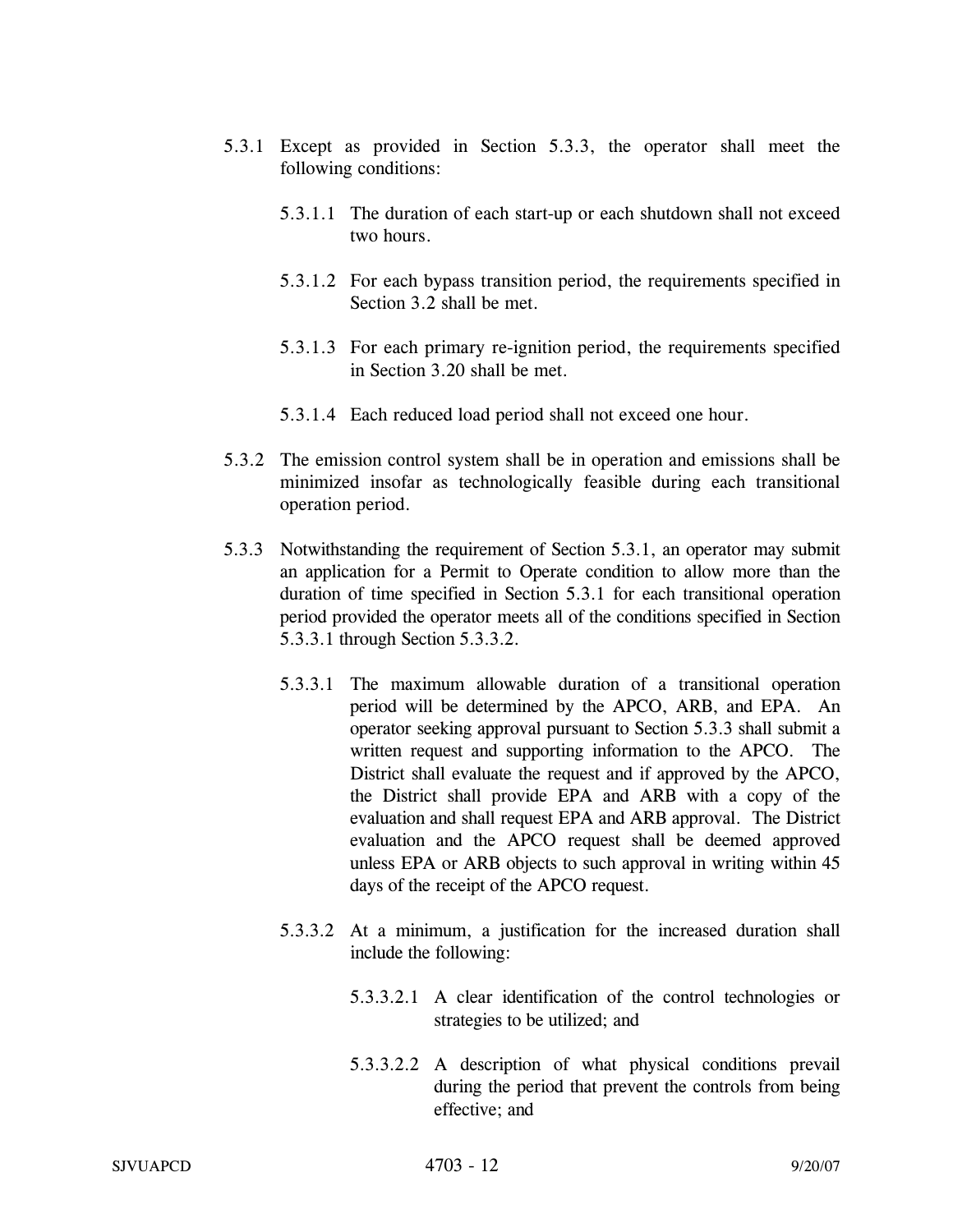- 5.3.1 Except as provided in Section 5.3.3, the operator shall meet the following conditions:
	- 5.3.1.1 The duration of each start-up or each shutdown shall not exceed two hours.
	- 5.3.1.2 For each bypass transition period, the requirements specified in Section 3.2 shall be met.
	- 5.3.1.3 For each primary re-ignition period, the requirements specified in Section 3.20 shall be met.
	- 5.3.1.4 Each reduced load period shall not exceed one hour.
- 5.3.2 The emission control system shall be in operation and emissions shall be minimized insofar as technologically feasible during each transitional operation period.
- 5.3.3 Notwithstanding the requirement of Section 5.3.1, an operator may submit an application for a Permit to Operate condition to allow more than the duration of time specified in Section 5.3.1 for each transitional operation period provided the operator meets all of the conditions specified in Section 5.3.3.1 through Section 5.3.3.2.
	- 5.3.3.1 The maximum allowable duration of a transitional operation period will be determined by the APCO, ARB, and EPA. An operator seeking approval pursuant to Section 5.3.3 shall submit a written request and supporting information to the APCO. The District shall evaluate the request and if approved by the APCO, the District shall provide EPA and ARB with a copy of the evaluation and shall request EPA and ARB approval. The District evaluation and the APCO request shall be deemed approved unless EPA or ARB objects to such approval in writing within 45 days of the receipt of the APCO request.
	- 5.3.3.2 At a minimum, a justification for the increased duration shall include the following:
		- 5.3.3.2.1 A clear identification of the control technologies or strategies to be utilized; and
		- 5.3.3.2.2 A description of what physical conditions prevail during the period that prevent the controls from being effective; and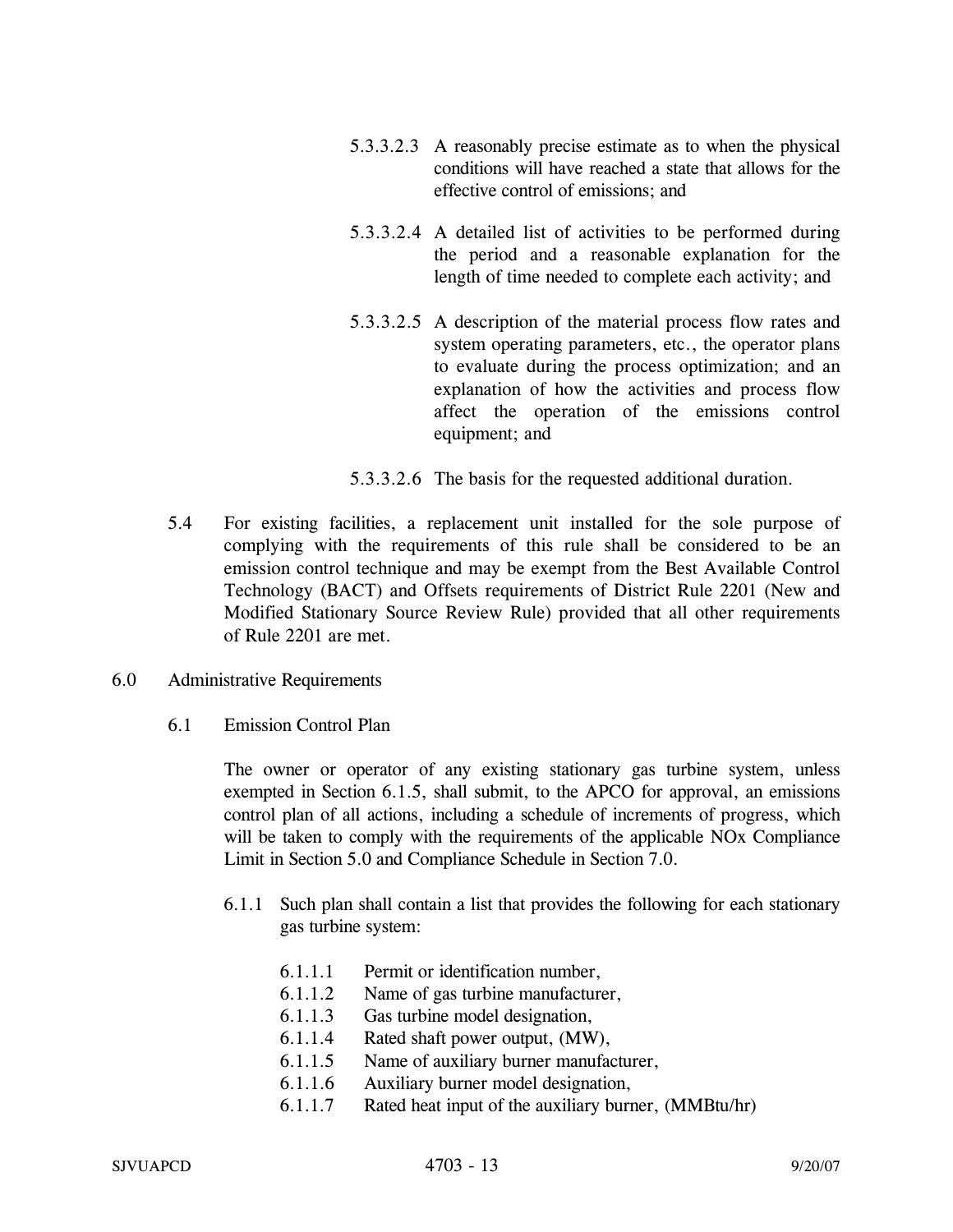- 5.3.3.2.3 A reasonably precise estimate as to when the physical conditions will have reached a state that allows for the effective control of emissions; and
- 5.3.3.2.4 A detailed list of activities to be performed during the period and a reasonable explanation for the length of time needed to complete each activity; and
- 5.3.3.2.5 A description of the material process flow rates and system operating parameters, etc., the operator plans to evaluate during the process optimization; and an explanation of how the activities and process flow affect the operation of the emissions control equipment; and
- 5.3.3.2.6 The basis for the requested additional duration.
- 5.4 For existing facilities, a replacement unit installed for the sole purpose of complying with the requirements of this rule shall be considered to be an emission control technique and may be exempt from the Best Available Control Technology (BACT) and Offsets requirements of District Rule 2201 (New and Modified Stationary Source Review Rule) provided that all other requirements of Rule 2201 are met.
- 6.0 Administrative Requirements
	- 6.1 Emission Control Plan

The owner or operator of any existing stationary gas turbine system, unless exempted in Section 6.1.5, shall submit, to the APCO for approval, an emissions control plan of all actions, including a schedule of increments of progress, which will be taken to comply with the requirements of the applicable NOx Compliance Limit in Section 5.0 and Compliance Schedule in Section 7.0.

- 6.1.1 Such plan shall contain a list that provides the following for each stationary gas turbine system:
	- 6.1.1.1 Permit or identification number,
	- 6.1.1.2 Name of gas turbine manufacturer,
	- 6.1.1.3 Gas turbine model designation,
	- 6.1.1.4 Rated shaft power output, (MW),
	- 6.1.1.5 Name of auxiliary burner manufacturer,
	- 6.1.1.6 Auxiliary burner model designation,
	- 6.1.1.7 Rated heat input of the auxiliary burner, (MMBtu/hr)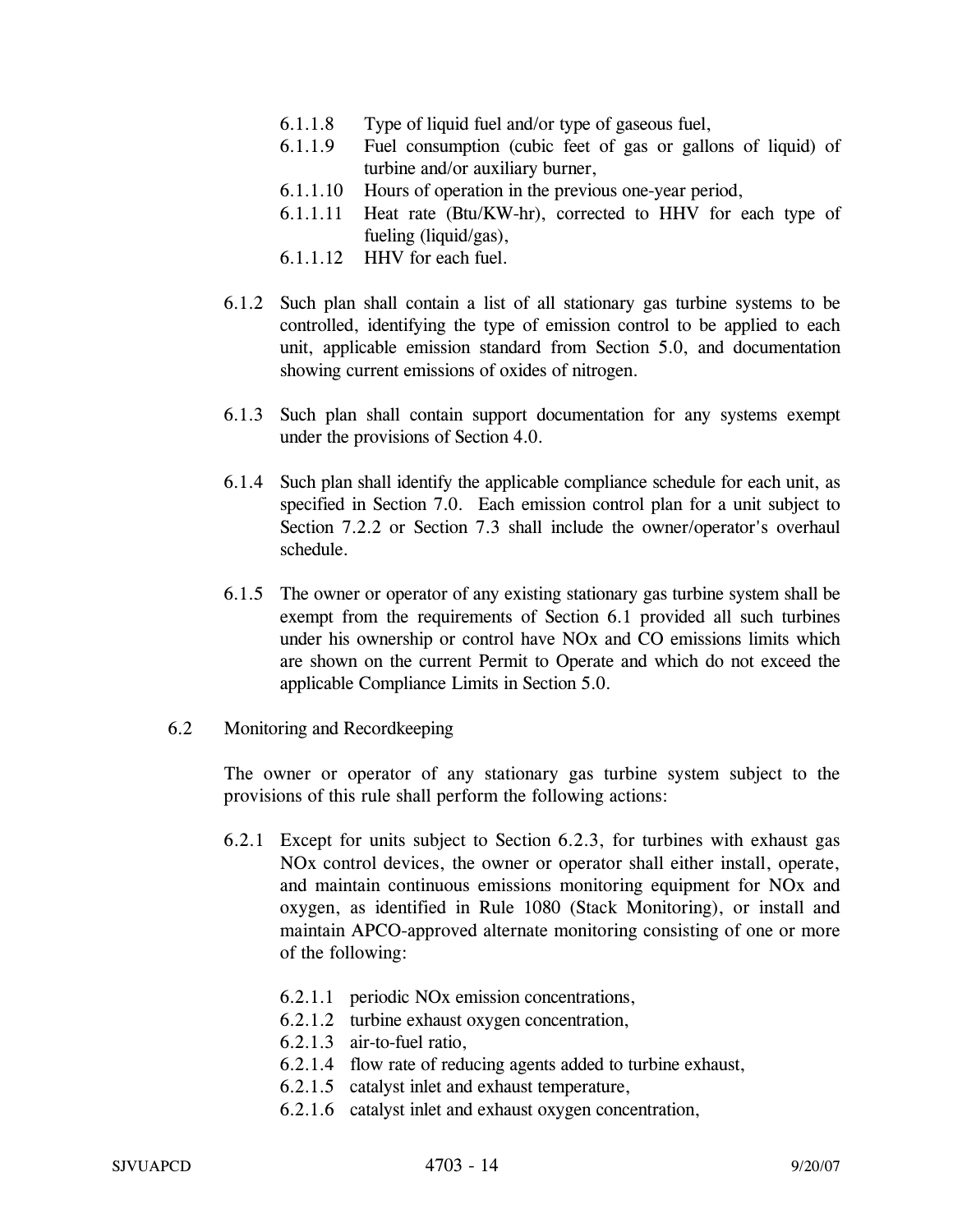- 6.1.1.8 Type of liquid fuel and/or type of gaseous fuel,
- 6.1.1.9 Fuel consumption (cubic feet of gas or gallons of liquid) of turbine and/or auxiliary burner,
- 6.1.1.10 Hours of operation in the previous one-year period,
- 6.1.1.11 Heat rate (Btu/KW-hr), corrected to HHV for each type of fueling (liquid/gas),
- 6.1.1.12 HHV for each fuel.
- 6.1.2 Such plan shall contain a list of all stationary gas turbine systems to be controlled, identifying the type of emission control to be applied to each unit, applicable emission standard from Section 5.0, and documentation showing current emissions of oxides of nitrogen.
- 6.1.3 Such plan shall contain support documentation for any systems exempt under the provisions of Section 4.0.
- 6.1.4 Such plan shall identify the applicable compliance schedule for each unit, as specified in Section 7.0. Each emission control plan for a unit subject to Section 7.2.2 or Section 7.3 shall include the owner/operator's overhaul schedule.
- 6.1.5 The owner or operator of any existing stationary gas turbine system shall be exempt from the requirements of Section 6.1 provided all such turbines under his ownership or control have NOx and CO emissions limits which are shown on the current Permit to Operate and which do not exceed the applicable Compliance Limits in Section 5.0.
- 6.2 Monitoring and Recordkeeping

The owner or operator of any stationary gas turbine system subject to the provisions of this rule shall perform the following actions:

- 6.2.1 Except for units subject to Section 6.2.3, for turbines with exhaust gas NOx control devices, the owner or operator shall either install, operate, and maintain continuous emissions monitoring equipment for NOx and oxygen, as identified in Rule 1080 (Stack Monitoring), or install and maintain APCO-approved alternate monitoring consisting of one or more of the following:
	- 6.2.1.1 periodic NOx emission concentrations,
	- 6.2.1.2 turbine exhaust oxygen concentration,
	- 6.2.1.3 air-to-fuel ratio,
	- 6.2.1.4 flow rate of reducing agents added to turbine exhaust,
	- 6.2.1.5 catalyst inlet and exhaust temperature,
	- 6.2.1.6 catalyst inlet and exhaust oxygen concentration,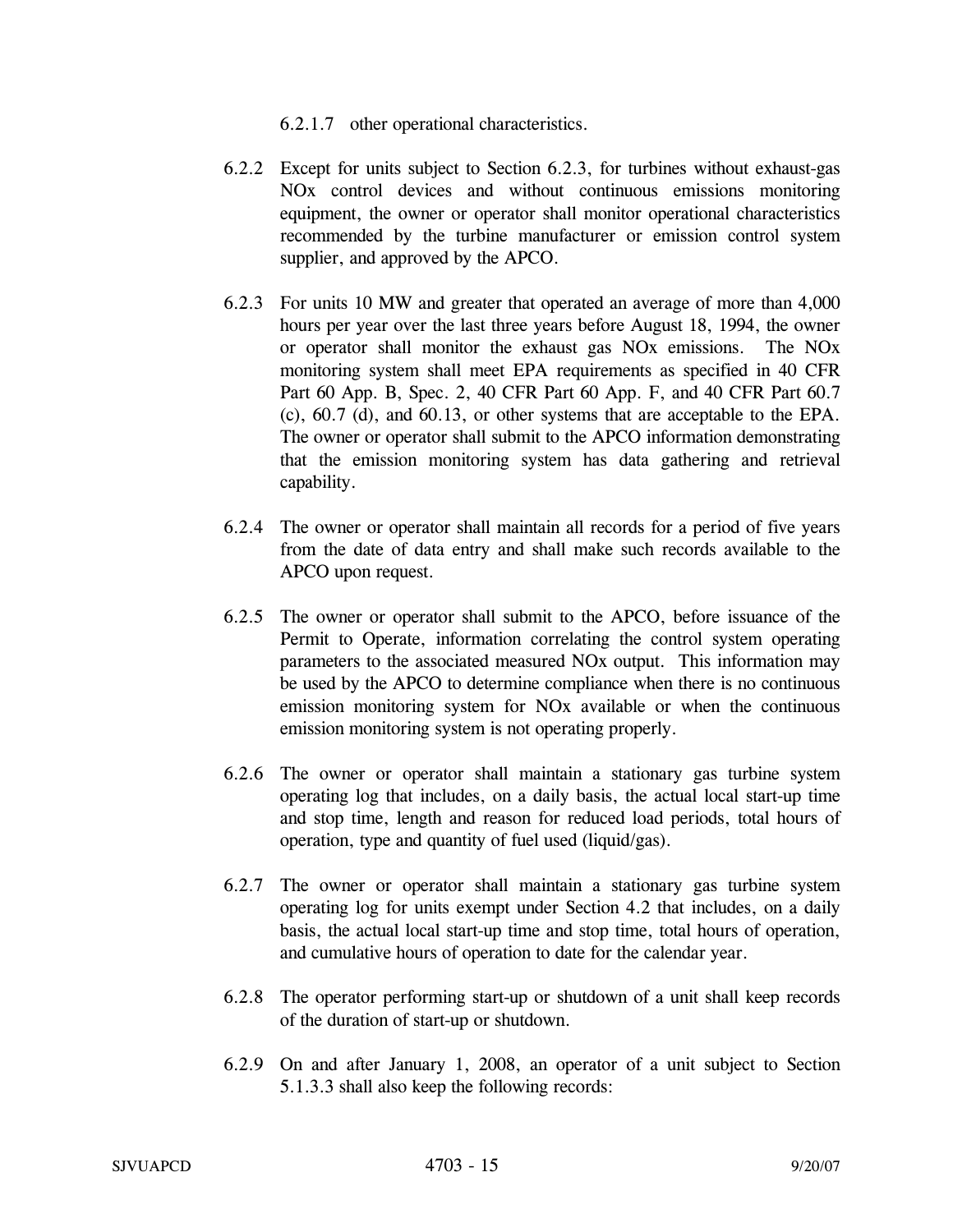6.2.1.7 other operational characteristics.

- 6.2.2 Except for units subject to Section 6.2.3, for turbines without exhaust-gas NOx control devices and without continuous emissions monitoring equipment, the owner or operator shall monitor operational characteristics recommended by the turbine manufacturer or emission control system supplier, and approved by the APCO.
- 6.2.3 For units 10 MW and greater that operated an average of more than 4,000 hours per year over the last three years before August 18, 1994, the owner or operator shall monitor the exhaust gas NOx emissions. The NOx monitoring system shall meet EPA requirements as specified in 40 CFR Part 60 App. B, Spec. 2, 40 CFR Part 60 App. F, and 40 CFR Part 60.7 (c), 60.7 (d), and 60.13, or other systems that are acceptable to the EPA. The owner or operator shall submit to the APCO information demonstrating that the emission monitoring system has data gathering and retrieval capability.
- 6.2.4 The owner or operator shall maintain all records for a period of five years from the date of data entry and shall make such records available to the APCO upon request.
- 6.2.5 The owner or operator shall submit to the APCO, before issuance of the Permit to Operate, information correlating the control system operating parameters to the associated measured NOx output. This information may be used by the APCO to determine compliance when there is no continuous emission monitoring system for NOx available or when the continuous emission monitoring system is not operating properly.
- 6.2.6 The owner or operator shall maintain a stationary gas turbine system operating log that includes, on a daily basis, the actual local start-up time and stop time, length and reason for reduced load periods, total hours of operation, type and quantity of fuel used (liquid/gas).
- 6.2.7 The owner or operator shall maintain a stationary gas turbine system operating log for units exempt under Section 4.2 that includes, on a daily basis, the actual local start-up time and stop time, total hours of operation, and cumulative hours of operation to date for the calendar year.
- 6.2.8 The operator performing start-up or shutdown of a unit shall keep records of the duration of start-up or shutdown.
- 6.2.9 On and after January 1, 2008, an operator of a unit subject to Section 5.1.3.3 shall also keep the following records: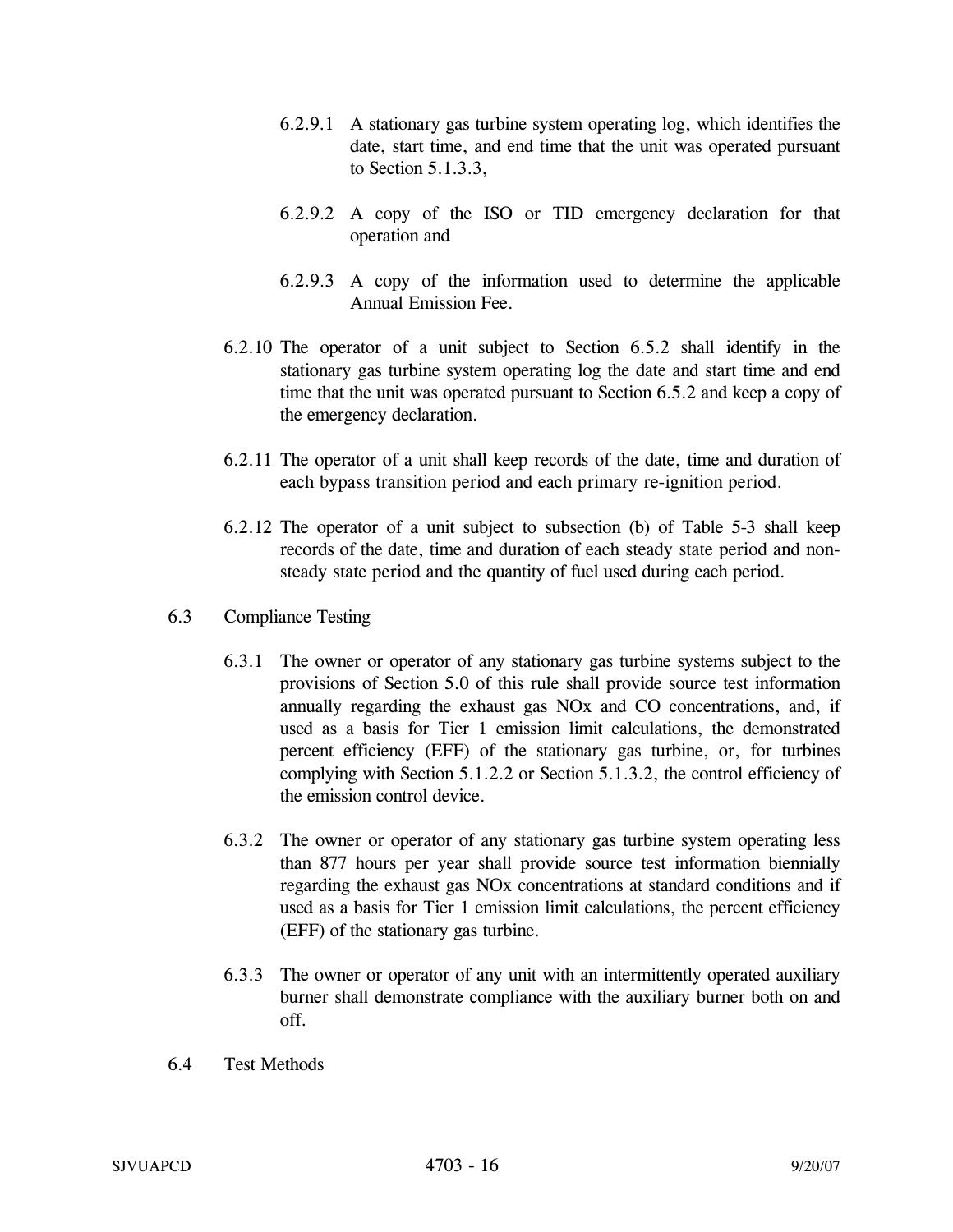- 6.2.9.1 A stationary gas turbine system operating log, which identifies the date, start time, and end time that the unit was operated pursuant to Section 5.1.3.3,
- 6.2.9.2 A copy of the ISO or TID emergency declaration for that operation and
- 6.2.9.3 A copy of the information used to determine the applicable Annual Emission Fee.
- 6.2.10 The operator of a unit subject to Section 6.5.2 shall identify in the stationary gas turbine system operating log the date and start time and end time that the unit was operated pursuant to Section 6.5.2 and keep a copy of the emergency declaration.
- 6.2.11 The operator of a unit shall keep records of the date, time and duration of each bypass transition period and each primary re-ignition period.
- 6.2.12 The operator of a unit subject to subsection (b) of Table 5-3 shall keep records of the date, time and duration of each steady state period and nonsteady state period and the quantity of fuel used during each period.
- 6.3 Compliance Testing
	- 6.3.1 The owner or operator of any stationary gas turbine systems subject to the provisions of Section 5.0 of this rule shall provide source test information annually regarding the exhaust gas NOx and CO concentrations, and, if used as a basis for Tier 1 emission limit calculations, the demonstrated percent efficiency (EFF) of the stationary gas turbine, or, for turbines complying with Section 5.1.2.2 or Section 5.1.3.2, the control efficiency of the emission control device.
	- 6.3.2 The owner or operator of any stationary gas turbine system operating less than 877 hours per year shall provide source test information biennially regarding the exhaust gas NOx concentrations at standard conditions and if used as a basis for Tier 1 emission limit calculations, the percent efficiency (EFF) of the stationary gas turbine.
	- 6.3.3 The owner or operator of any unit with an intermittently operated auxiliary burner shall demonstrate compliance with the auxiliary burner both on and off.
- 6.4 Test Methods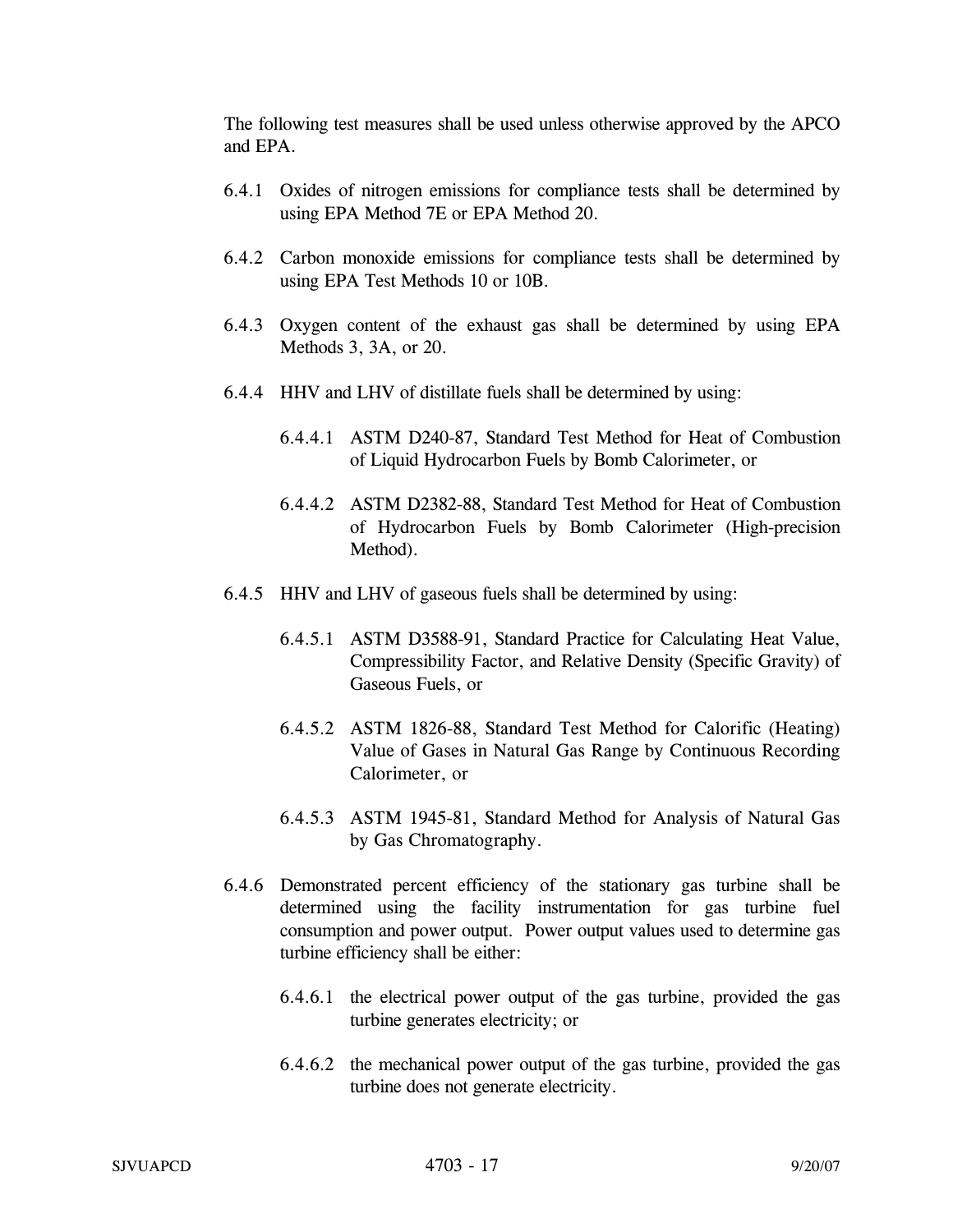The following test measures shall be used unless otherwise approved by the APCO and EPA.

- 6.4.1 Oxides of nitrogen emissions for compliance tests shall be determined by using EPA Method 7E or EPA Method 20.
- 6.4.2 Carbon monoxide emissions for compliance tests shall be determined by using EPA Test Methods 10 or 10B.
- 6.4.3 Oxygen content of the exhaust gas shall be determined by using EPA Methods 3, 3A, or 20.
- 6.4.4 HHV and LHV of distillate fuels shall be determined by using:
	- 6.4.4.1 ASTM D240-87, Standard Test Method for Heat of Combustion of Liquid Hydrocarbon Fuels by Bomb Calorimeter, or
	- 6.4.4.2 ASTM D2382-88, Standard Test Method for Heat of Combustion of Hydrocarbon Fuels by Bomb Calorimeter (High-precision Method).
- 6.4.5 HHV and LHV of gaseous fuels shall be determined by using:
	- 6.4.5.1 ASTM D3588-91, Standard Practice for Calculating Heat Value, Compressibility Factor, and Relative Density (Specific Gravity) of Gaseous Fuels, or
	- 6.4.5.2 ASTM 1826-88, Standard Test Method for Calorific (Heating) Value of Gases in Natural Gas Range by Continuous Recording Calorimeter, or
	- 6.4.5.3 ASTM 1945-81, Standard Method for Analysis of Natural Gas by Gas Chromatography.
- 6.4.6 Demonstrated percent efficiency of the stationary gas turbine shall be determined using the facility instrumentation for gas turbine fuel consumption and power output. Power output values used to determine gas turbine efficiency shall be either:
	- 6.4.6.1 the electrical power output of the gas turbine, provided the gas turbine generates electricity; or
	- 6.4.6.2 the mechanical power output of the gas turbine, provided the gas turbine does not generate electricity.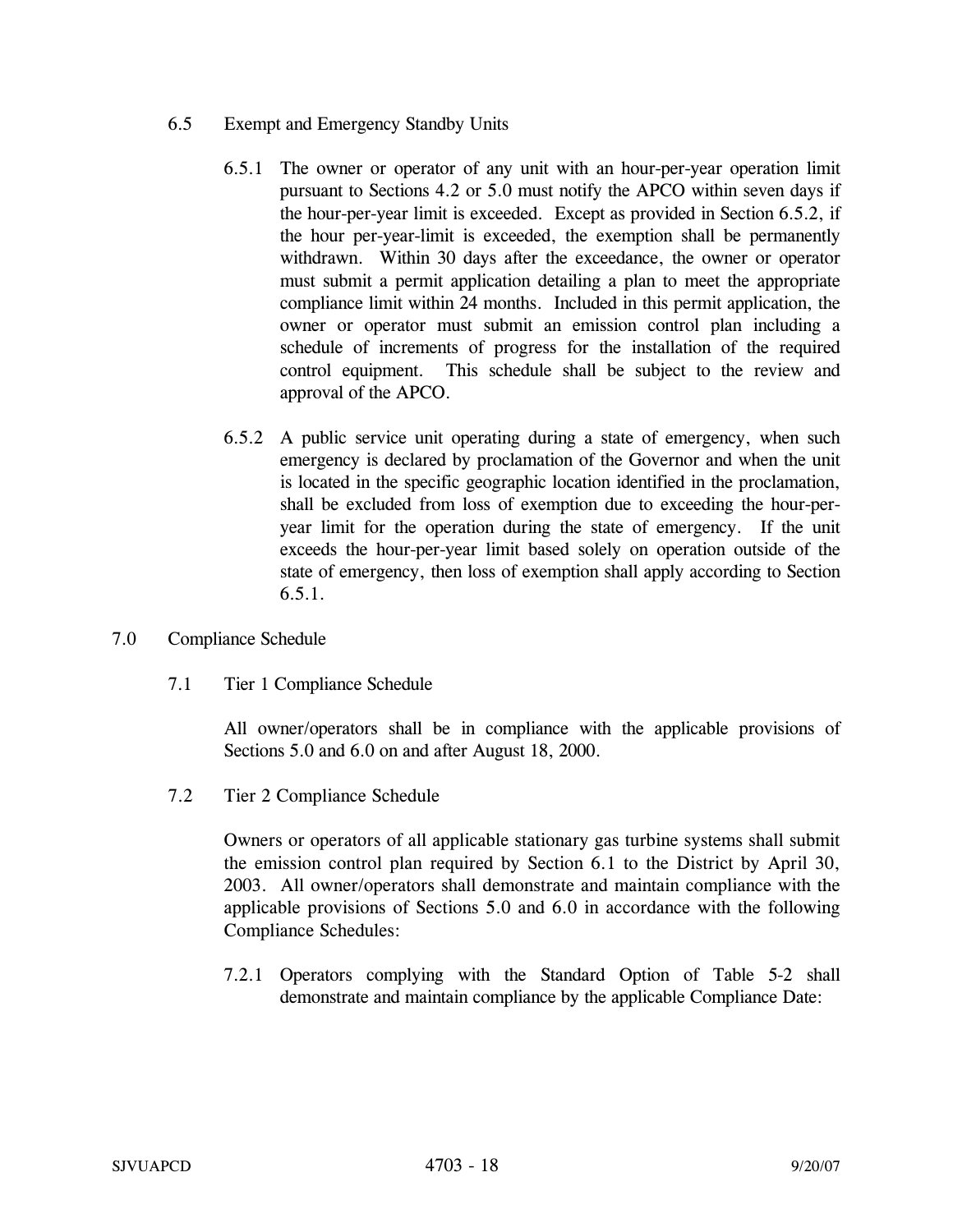- 6.5 Exempt and Emergency Standby Units
	- 6.5.1 The owner or operator of any unit with an hour-per-year operation limit pursuant to Sections 4.2 or 5.0 must notify the APCO within seven days if the hour-per-year limit is exceeded. Except as provided in Section 6.5.2, if the hour per-year-limit is exceeded, the exemption shall be permanently withdrawn. Within 30 days after the exceedance, the owner or operator must submit a permit application detailing a plan to meet the appropriate compliance limit within 24 months. Included in this permit application, the owner or operator must submit an emission control plan including a schedule of increments of progress for the installation of the required control equipment. This schedule shall be subject to the review and approval of the APCO.
	- 6.5.2 A public service unit operating during a state of emergency, when such emergency is declared by proclamation of the Governor and when the unit is located in the specific geographic location identified in the proclamation, shall be excluded from loss of exemption due to exceeding the hour-peryear limit for the operation during the state of emergency. If the unit exceeds the hour-per-year limit based solely on operation outside of the state of emergency, then loss of exemption shall apply according to Section 6.5.1.
- 7.0 Compliance Schedule
	- 7.1 Tier 1 Compliance Schedule

All owner/operators shall be in compliance with the applicable provisions of Sections 5.0 and 6.0 on and after August 18, 2000.

7.2 Tier 2 Compliance Schedule

Owners or operators of all applicable stationary gas turbine systems shall submit the emission control plan required by Section 6.1 to the District by April 30, 2003. All owner/operators shall demonstrate and maintain compliance with the applicable provisions of Sections 5.0 and 6.0 in accordance with the following Compliance Schedules:

7.2.1 Operators complying with the Standard Option of Table 5-2 shall demonstrate and maintain compliance by the applicable Compliance Date: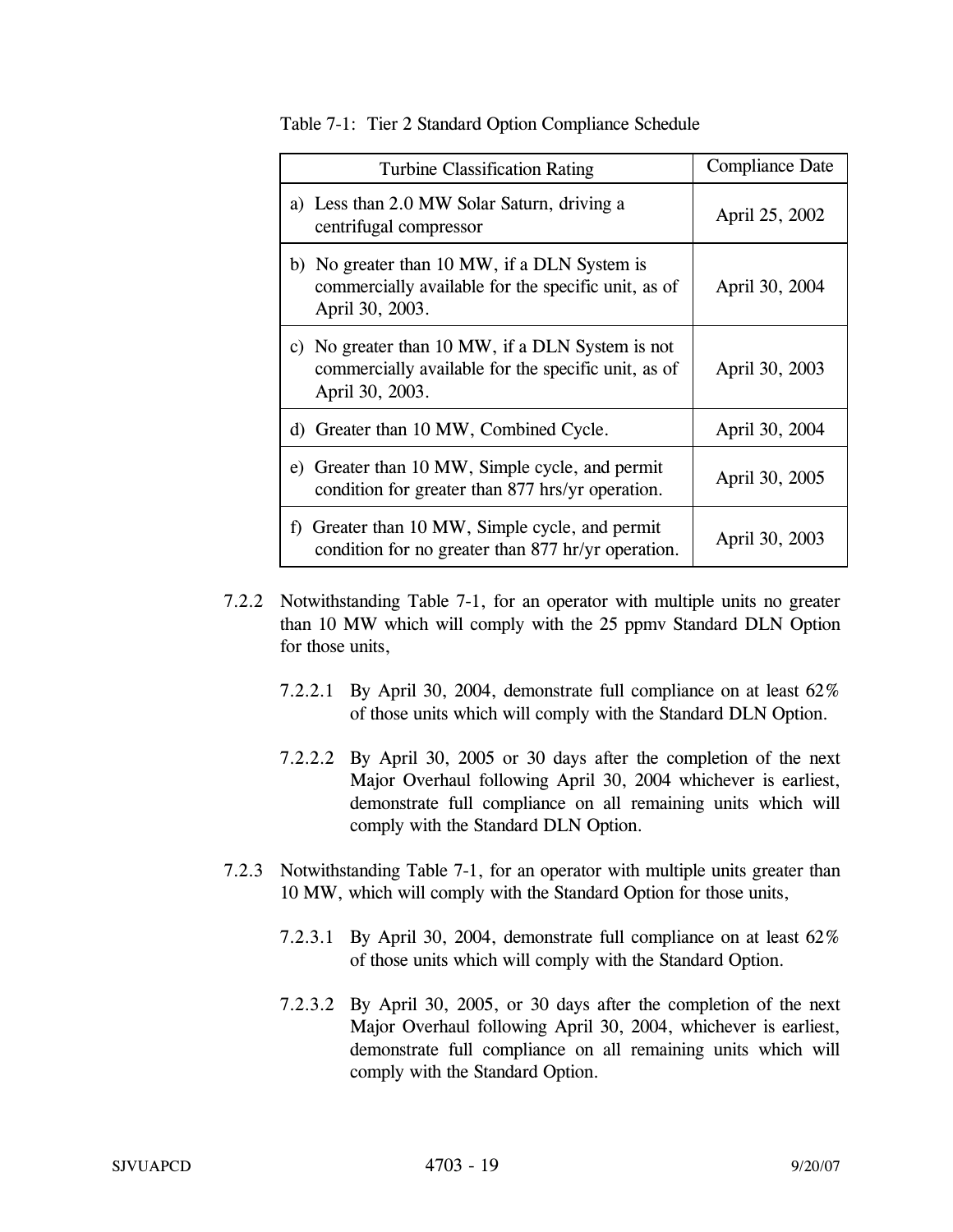| <b>Turbine Classification Rating</b>                                                                                       | <b>Compliance Date</b> |
|----------------------------------------------------------------------------------------------------------------------------|------------------------|
| a) Less than 2.0 MW Solar Saturn, driving a<br>centrifugal compressor                                                      | April 25, 2002         |
| b) No greater than 10 MW, if a DLN System is<br>commercially available for the specific unit, as of<br>April 30, 2003.     | April 30, 2004         |
| c) No greater than 10 MW, if a DLN System is not<br>commercially available for the specific unit, as of<br>April 30, 2003. | April 30, 2003         |
| d) Greater than 10 MW, Combined Cycle.                                                                                     | April 30, 2004         |
| e) Greater than 10 MW, Simple cycle, and permit<br>condition for greater than 877 hrs/yr operation.                        | April 30, 2005         |
| f) Greater than 10 MW, Simple cycle, and permit<br>condition for no greater than 877 hr/yr operation.                      | April 30, 2003         |

Table 7-1: Tier 2 Standard Option Compliance Schedule

- 7.2.2 Notwithstanding Table 7-1, for an operator with multiple units no greater than 10 MW which will comply with the 25 ppmv Standard DLN Option for those units,
	- 7.2.2.1 By April 30, 2004, demonstrate full compliance on at least 62% of those units which will comply with the Standard DLN Option.
	- 7.2.2.2 By April 30, 2005 or 30 days after the completion of the next Major Overhaul following April 30, 2004 whichever is earliest, demonstrate full compliance on all remaining units which will comply with the Standard DLN Option.
- 7.2.3 Notwithstanding Table 7-1, for an operator with multiple units greater than 10 MW, which will comply with the Standard Option for those units,
	- 7.2.3.1 By April 30, 2004, demonstrate full compliance on at least 62% of those units which will comply with the Standard Option.
	- 7.2.3.2 By April 30, 2005, or 30 days after the completion of the next Major Overhaul following April 30, 2004, whichever is earliest, demonstrate full compliance on all remaining units which will comply with the Standard Option.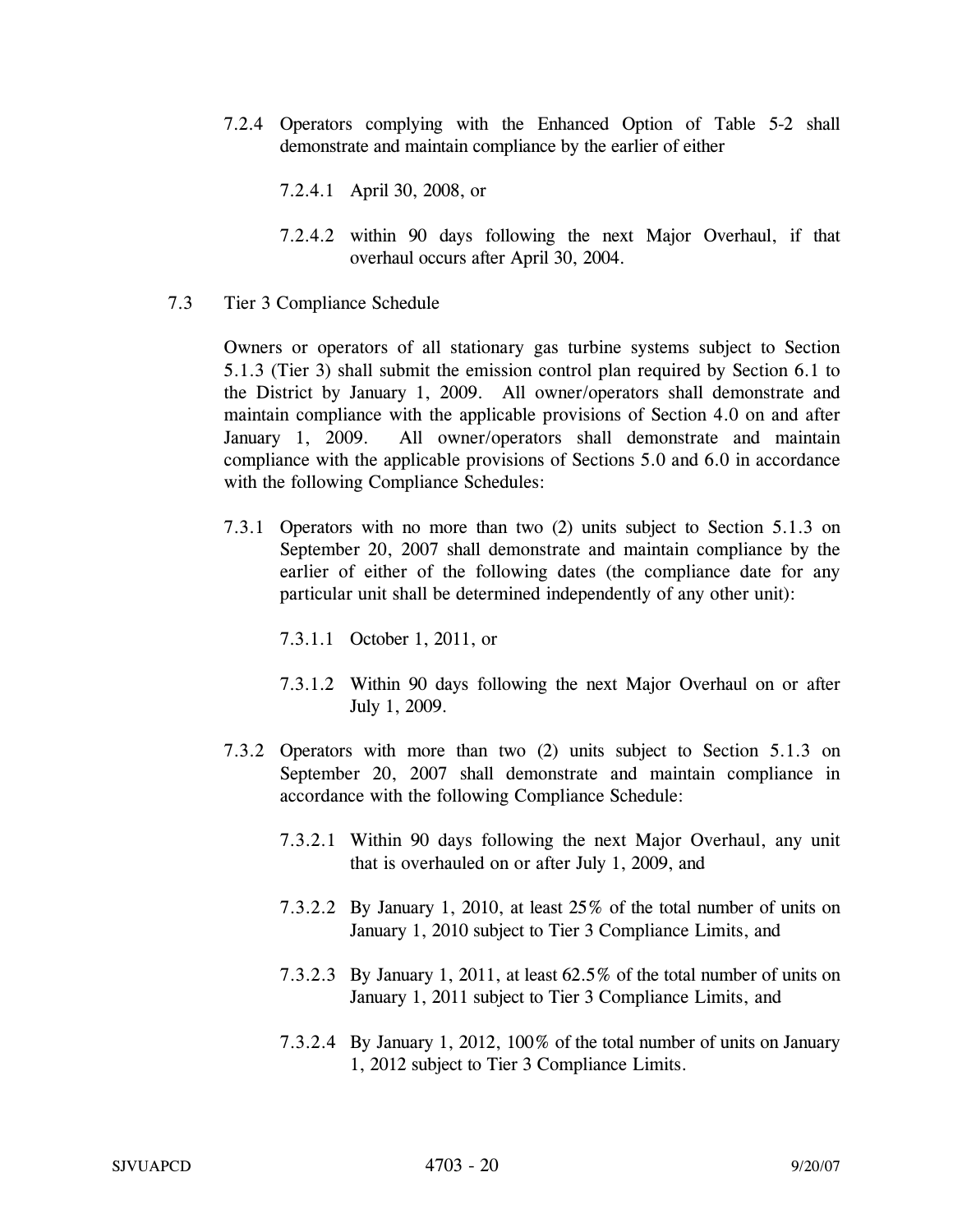- 7.2.4 Operators complying with the Enhanced Option of Table 5-2 shall demonstrate and maintain compliance by the earlier of either
	- 7.2.4.1 April 30, 2008, or
	- 7.2.4.2 within 90 days following the next Major Overhaul, if that overhaul occurs after April 30, 2004.
- 7.3 Tier 3 Compliance Schedule

Owners or operators of all stationary gas turbine systems subject to Section 5.1.3 (Tier 3) shall submit the emission control plan required by Section 6.1 to the District by January 1, 2009. All owner/operators shall demonstrate and maintain compliance with the applicable provisions of Section 4.0 on and after January 1, 2009. All owner/operators shall demonstrate and maintain compliance with the applicable provisions of Sections 5.0 and 6.0 in accordance with the following Compliance Schedules:

7.3.1 Operators with no more than two (2) units subject to Section 5.1.3 on September 20, 2007 shall demonstrate and maintain compliance by the earlier of either of the following dates (the compliance date for any particular unit shall be determined independently of any other unit):

7.3.1.1 October 1, 2011, or

- 7.3.1.2 Within 90 days following the next Major Overhaul on or after July 1, 2009.
- 7.3.2 Operators with more than two (2) units subject to Section 5.1.3 on September 20, 2007 shall demonstrate and maintain compliance in accordance with the following Compliance Schedule:
	- 7.3.2.1 Within 90 days following the next Major Overhaul, any unit that is overhauled on or after July 1, 2009, and
	- 7.3.2.2 By January 1, 2010, at least 25% of the total number of units on January 1, 2010 subject to Tier 3 Compliance Limits, and
	- 7.3.2.3 By January 1, 2011, at least 62.5% of the total number of units on January 1, 2011 subject to Tier 3 Compliance Limits, and
	- 7.3.2.4 By January 1, 2012, 100% of the total number of units on January 1, 2012 subject to Tier 3 Compliance Limits.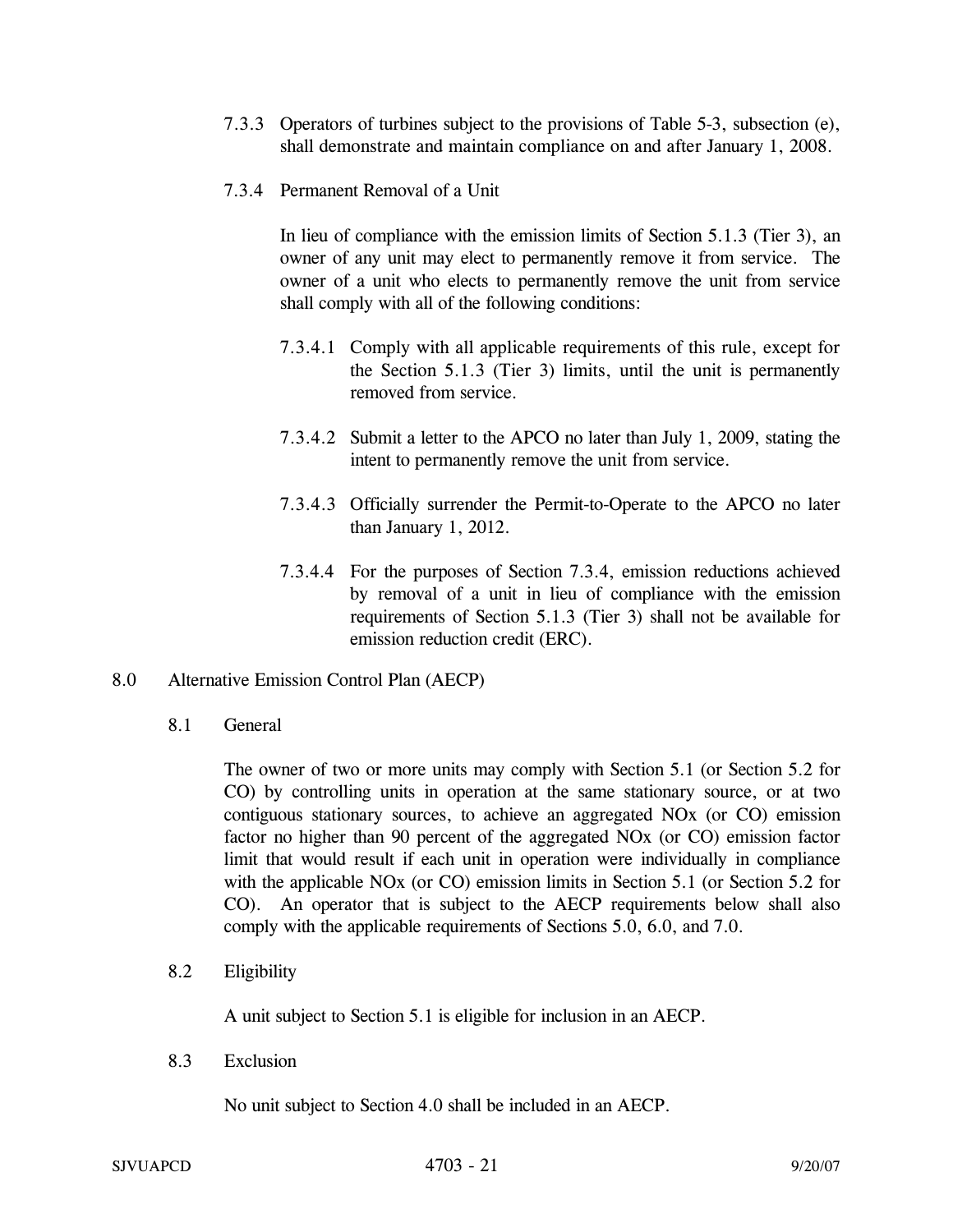- 7.3.3 Operators of turbines subject to the provisions of Table 5-3, subsection (e), shall demonstrate and maintain compliance on and after January 1, 2008.
- 7.3.4 Permanent Removal of a Unit

 In lieu of compliance with the emission limits of Section 5.1.3 (Tier 3), an owner of any unit may elect to permanently remove it from service. The owner of a unit who elects to permanently remove the unit from service shall comply with all of the following conditions:

- 7.3.4.1 Comply with all applicable requirements of this rule, except for the Section 5.1.3 (Tier 3) limits, until the unit is permanently removed from service.
- 7.3.4.2 Submit a letter to the APCO no later than July 1, 2009, stating the intent to permanently remove the unit from service.
- 7.3.4.3 Officially surrender the Permit-to-Operate to the APCO no later than January 1, 2012.
- 7.3.4.4 For the purposes of Section 7.3.4, emission reductions achieved by removal of a unit in lieu of compliance with the emission requirements of Section 5.1.3 (Tier 3) shall not be available for emission reduction credit (ERC).
- 8.0 Alternative Emission Control Plan (AECP)
	- 8.1 General

The owner of two or more units may comply with Section 5.1 (or Section 5.2 for CO) by controlling units in operation at the same stationary source, or at two contiguous stationary sources, to achieve an aggregated NOx (or CO) emission factor no higher than 90 percent of the aggregated NOx (or CO) emission factor limit that would result if each unit in operation were individually in compliance with the applicable NOx (or CO) emission limits in Section 5.1 (or Section 5.2 for CO). An operator that is subject to the AECP requirements below shall also comply with the applicable requirements of Sections 5.0, 6.0, and 7.0.

8.2 Eligibility

A unit subject to Section 5.1 is eligible for inclusion in an AECP.

8.3 Exclusion

No unit subject to Section 4.0 shall be included in an AECP.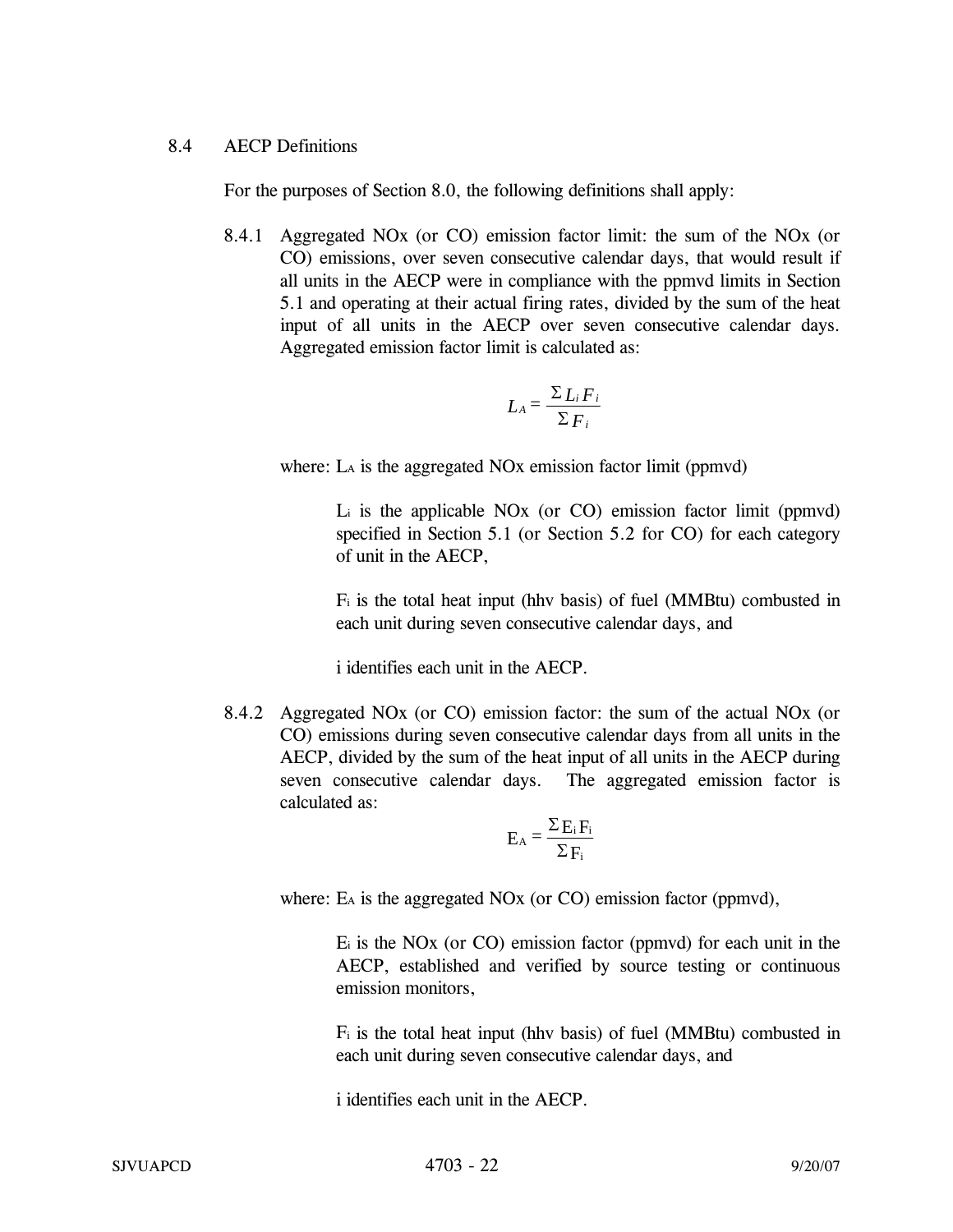# 8.4 AECP Definitions

For the purposes of Section 8.0, the following definitions shall apply:

8.4.1 Aggregated NOx (or CO) emission factor limit: the sum of the NOx (or CO) emissions, over seven consecutive calendar days, that would result if all units in the AECP were in compliance with the ppmvd limits in Section 5.1 and operating at their actual firing rates, divided by the sum of the heat input of all units in the AECP over seven consecutive calendar days. Aggregated emission factor limit is calculated as:

$$
L_A = \frac{\sum L_i F_i}{\sum F_i}
$$

where: L<sub>A</sub> is the aggregated NO<sub>x</sub> emission factor limit (ppmvd)

Li is the applicable NOx (or CO) emission factor limit (ppmvd) specified in Section 5.1 (or Section 5.2 for CO) for each category of unit in the AECP,

Fi is the total heat input (hhv basis) of fuel (MMBtu) combusted in each unit during seven consecutive calendar days, and

i identifies each unit in the AECP.

8.4.2 Aggregated NOx (or CO) emission factor: the sum of the actual NOx (or CO) emissions during seven consecutive calendar days from all units in the AECP, divided by the sum of the heat input of all units in the AECP during seven consecutive calendar days. The aggregated emission factor is calculated as:

$$
E_A = \frac{\Sigma E_i F_i}{\Sigma F_i}
$$

where: E<sub>A</sub> is the aggregated NO<sub>x</sub> (or CO) emission factor (ppmvd),

Ei is the NOx (or CO) emission factor (ppmvd) for each unit in the AECP, established and verified by source testing or continuous emission monitors,

Fi is the total heat input (hhv basis) of fuel (MMBtu) combusted in each unit during seven consecutive calendar days, and

i identifies each unit in the AECP.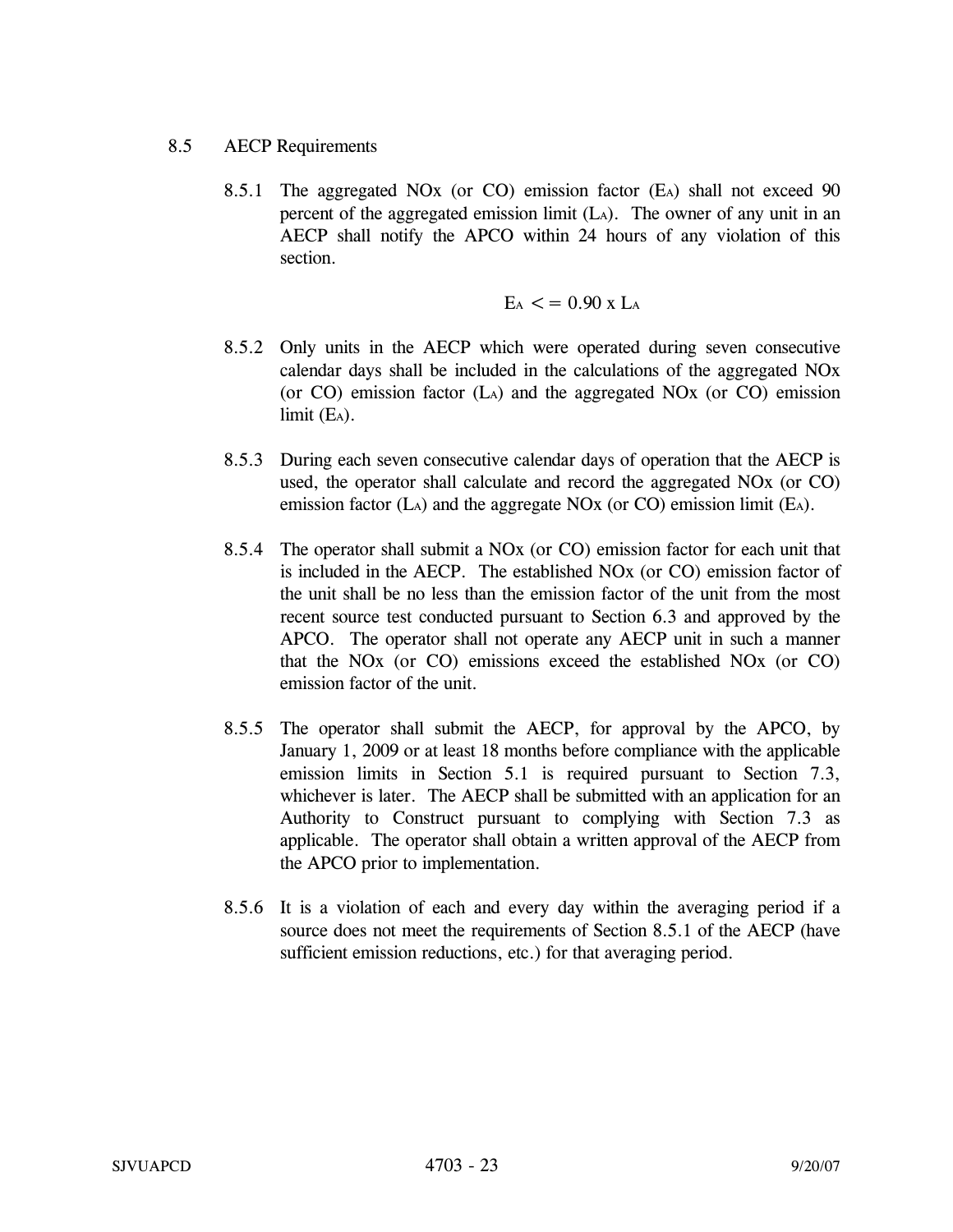# 8.5 AECP Requirements

8.5.1 The aggregated NOx (or CO) emission factor (EA) shall not exceed 90 percent of the aggregated emission limit  $(L_A)$ . The owner of any unit in an AECP shall notify the APCO within 24 hours of any violation of this section.

$$
E_A < = 0.90 \text{ x } L_A
$$

- 8.5.2 Only units in the AECP which were operated during seven consecutive calendar days shall be included in the calculations of the aggregated NOx (or CO) emission factor (LA) and the aggregated NOx (or CO) emission  $limit$  (E<sub>A</sub>).
- 8.5.3 During each seven consecutive calendar days of operation that the AECP is used, the operator shall calculate and record the aggregated NOx (or CO) emission factor (LA) and the aggregate NOx (or CO) emission limit (EA).
- 8.5.4 The operator shall submit a NOx (or CO) emission factor for each unit that is included in the AECP. The established NOx (or CO) emission factor of the unit shall be no less than the emission factor of the unit from the most recent source test conducted pursuant to Section 6.3 and approved by the APCO. The operator shall not operate any AECP unit in such a manner that the NOx (or CO) emissions exceed the established NOx (or CO) emission factor of the unit.
- 8.5.5 The operator shall submit the AECP, for approval by the APCO, by January 1, 2009 or at least 18 months before compliance with the applicable emission limits in Section 5.1 is required pursuant to Section 7.3, whichever is later. The AECP shall be submitted with an application for an Authority to Construct pursuant to complying with Section 7.3 as applicable. The operator shall obtain a written approval of the AECP from the APCO prior to implementation.
- 8.5.6 It is a violation of each and every day within the averaging period if a source does not meet the requirements of Section 8.5.1 of the AECP (have sufficient emission reductions, etc.) for that averaging period.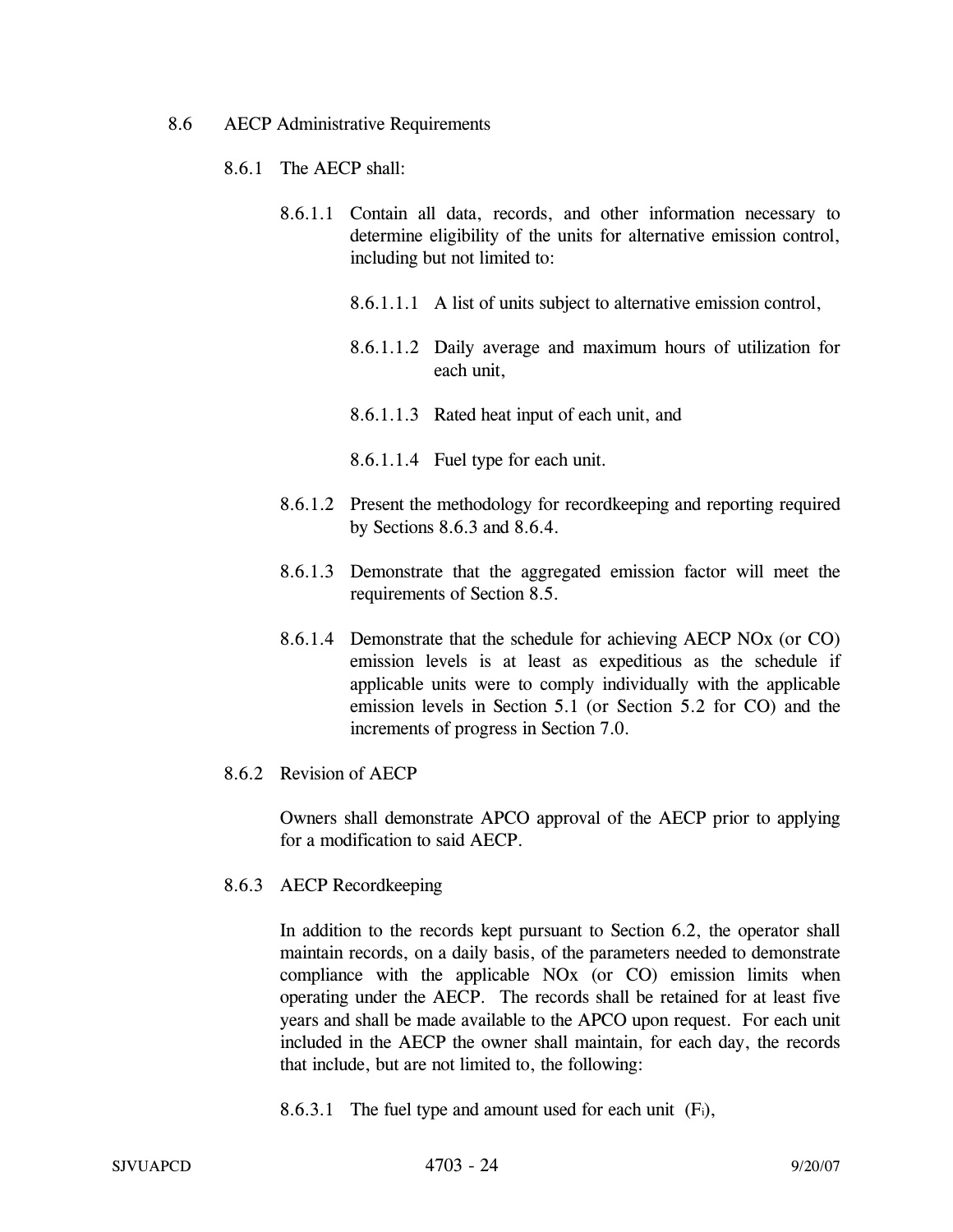- 8.6 AECP Administrative Requirements
	- 8.6.1 The AECP shall:
		- 8.6.1.1 Contain all data, records, and other information necessary to determine eligibility of the units for alternative emission control, including but not limited to:
			- 8.6.1.1.1 A list of units subject to alternative emission control,
			- 8.6.1.1.2 Daily average and maximum hours of utilization for each unit,
			- 8.6.1.1.3 Rated heat input of each unit, and
			- 8.6.1.1.4 Fuel type for each unit.
		- 8.6.1.2 Present the methodology for recordkeeping and reporting required by Sections 8.6.3 and 8.6.4.
		- 8.6.1.3 Demonstrate that the aggregated emission factor will meet the requirements of Section 8.5.
		- 8.6.1.4 Demonstrate that the schedule for achieving AECP NOx (or CO) emission levels is at least as expeditious as the schedule if applicable units were to comply individually with the applicable emission levels in Section 5.1 (or Section 5.2 for CO) and the increments of progress in Section 7.0.
	- 8.6.2 Revision of AECP

Owners shall demonstrate APCO approval of the AECP prior to applying for a modification to said AECP.

8.6.3 AECP Recordkeeping

In addition to the records kept pursuant to Section 6.2, the operator shall maintain records, on a daily basis, of the parameters needed to demonstrate compliance with the applicable NOx (or CO) emission limits when operating under the AECP. The records shall be retained for at least five years and shall be made available to the APCO upon request. For each unit included in the AECP the owner shall maintain, for each day, the records that include, but are not limited to, the following:

8.6.3.1 The fuel type and amount used for each unit (Fi),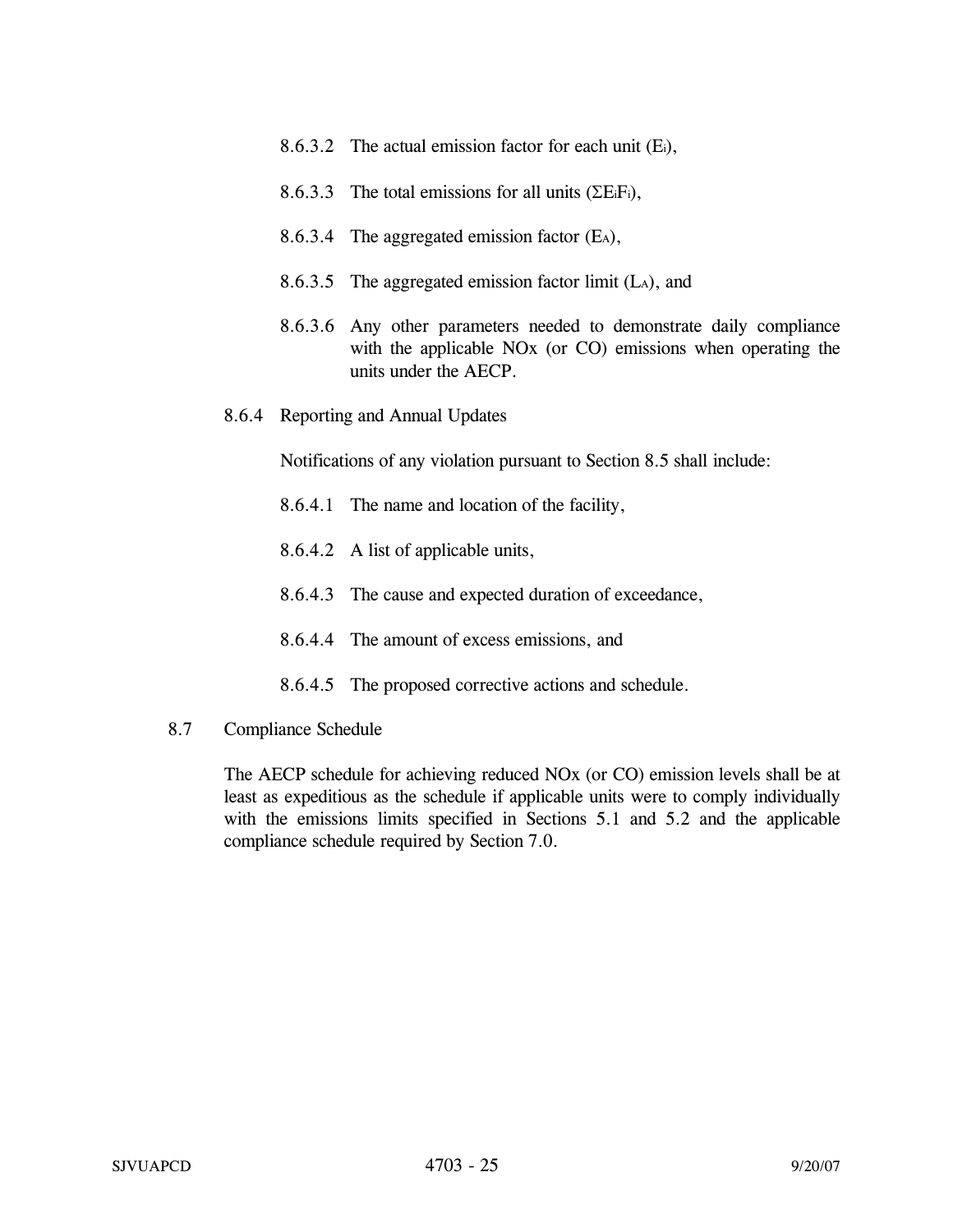- 8.6.3.2 The actual emission factor for each unit (Ei),
- 8.6.3.3 The total emissions for all units ( $\Sigma$ EiFi),
- 8.6.3.4 The aggregated emission factor (E<sub>A</sub>),
- 8.6.3.5 The aggregated emission factor limit (LA), and
- 8.6.3.6 Any other parameters needed to demonstrate daily compliance with the applicable NOx (or CO) emissions when operating the units under the AECP.
- 8.6.4 Reporting and Annual Updates

Notifications of any violation pursuant to Section 8.5 shall include:

- 8.6.4.1 The name and location of the facility,
- 8.6.4.2 A list of applicable units,
- 8.6.4.3 The cause and expected duration of exceedance,
- 8.6.4.4 The amount of excess emissions, and
- 8.6.4.5 The proposed corrective actions and schedule.
- 8.7 Compliance Schedule

The AECP schedule for achieving reduced NOx (or CO) emission levels shall be at least as expeditious as the schedule if applicable units were to comply individually with the emissions limits specified in Sections 5.1 and 5.2 and the applicable compliance schedule required by Section 7.0.